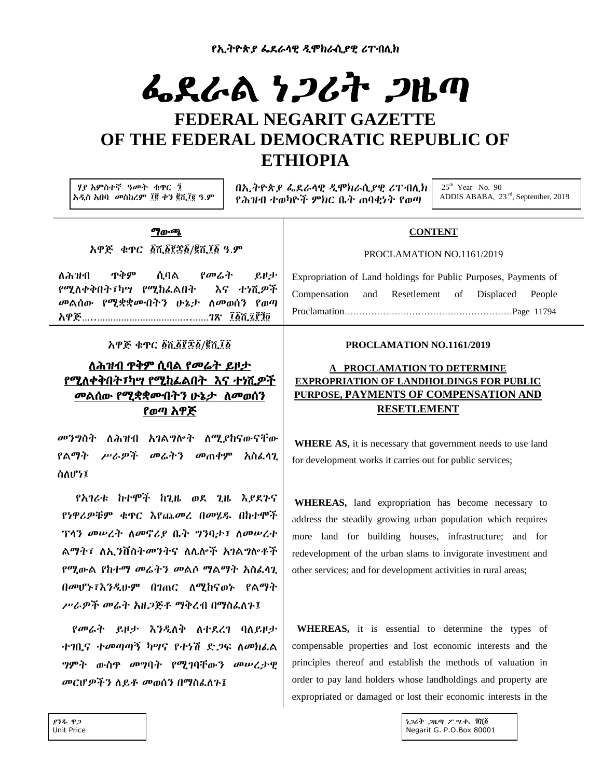# ፌደራል ነ*ጋ*ሪት *ጋ*ዜጣ

# **FEDERAL NEGARIT GAZETTE OF THE FEDERAL DEMOCRATIC REPUBLIC OF ETHIOPIA**

ሃያ አምስተኛ ዓመት ቁጥር ፺ አዲስ አበባ መስከረም ፲፪ ቀን ፪ሺ፲፪ ዓ.ም በኢትዮጵያ ፌደራላዊ ዲሞክራሲያዊ ሪፐብሊክ የሕዝብ ተወካዮች ምክር ቤት ጠባቂነት የወጣ

 $25<sup>th</sup>$  Year No. 90 ADDIS ABABA, 23 rd, September, 2019

#### <u>ማውጫ</u>

አዋጅ ቁጥር ፩ሺ፩፻፷፩/፪ሺ፲፩ ዓ.ም

ሇሕዝብ ጥቅም ሲባሌ የመሬት ይዞታ የሚለቀቅበት፣ካሣ የሚከፌልበት እና ተነሺዎች መልሰው የሚቋቋሙበትን ሁኔታ ለመወሰን የወጣ አዋጅ…..……………………………..……ገጽ ፲፩ሺ፻፺

አዋጅ ቁጥር ፩ሺ፩፻፷፩/፪ሺ፲፩

## ሇሕዝብ ጥቅም ሲባሌ የመሬት ይዞታ የሚለቀቅበት፣ካ<u>ሣ የሚከፌልበ</u>ት እና ተነሺ*ዎች* መልሰው የሚቋቋሙበትን ሁኔታ ለመወሰን የወጣ አዋጅ

መንግስት ለሕዝብ አገልግሎት ለሚያከናውናቸው የልማት ሥራዎች መሬትን መጠቀም አስፌሳጊ ስስሆነ፤

የአገሪቱ ከተሞች ከጊዜ ወደ ጊዜ እያደጉና የነዋሪዎቹም ቁጥር እየጨመረ በመሄደ በከተሞች ፕላን መሠረት ስመኖሪያ ቤት ግንባታ፣ ስመሠረተ ልማት፣ ለኢንቨስትመንትና ለሌሎች አገልግሎቶች የሚውል የከተማ መሬትን መልሶ ማልማት አስፈላጊ በመሆኑ፣እንዱሁም በገጠር ሇሚከናወኑ የሌማት ሥራዎች መሬት አዘጋጅቶ ማቅረብ በማስፌለጉ፤

የመሬት ይዞታ እንዲለቅ ለተደረገ ባለይዞታ ተገቢና ተመጣጣኝ ካሣና የተነሽ ድ*ጋ*ፍ ለመክፌል ግምት ውስጥ መግባት የሚገባቸውን መሠረታዊ መርሆዎችን ለይቶ መወሰን በማስፌስጉ፤

#### **CONTENT**

#### PROCLAMATION NO.1161/2019

Expropriation of Land holdings for Public Purposes, Payments of Compensation and Resetlement of Displaced People Proclamation…………………………………………………Page 11794

#### **PROCLAMATION NO.1161/2019**

## **A PROCLAMATION TO DETERMINE EXPROPRIATION OF LANDHOLDINGS FOR PUBLIC PURPOSE, PAYMENTS OF COMPENSATION AND RESETLEMENT**

**WHERE AS,** it is necessary that government needs to use land for development works it carries out for public services;

**WHEREAS,** land expropriation has become necessary to address the steadily growing urban population which requires more land for building houses, infrastructure; and for redevelopment of the urban slams to invigorate investment and other services; and for development activities in rural areas;

 **WHEREAS,** it is essential to determine the types of compensable properties and lost economic interests and the principles thereof and establish the methods of valuation in order to pay land holders whose landholdings and property are expropriated or damaged or lost their economic interests in the

> $126$ ቲ ጋዜጣ ፖ.ሚ.ቂ. ፲፭፩ Negarit G. P.O.Box 80001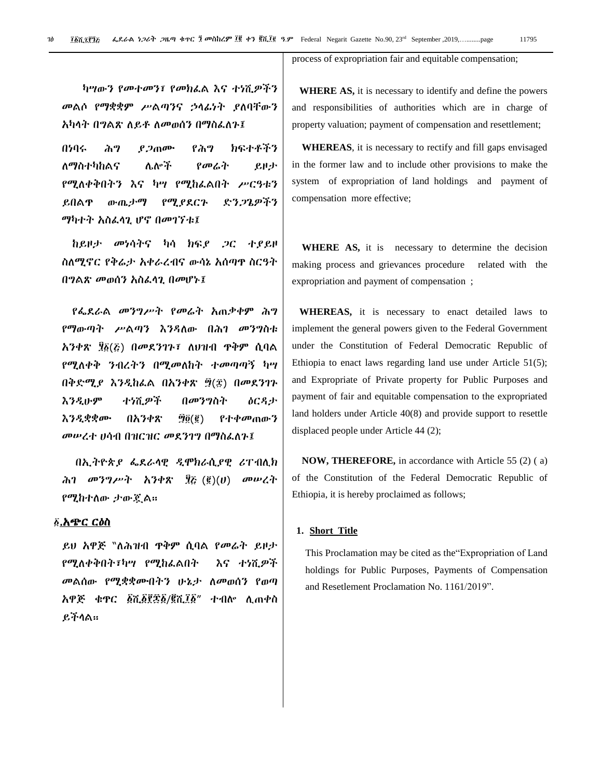process of expropriation fair and equitable compensation;

ካሣውን የመተመን፣ የመክፌል እና ተነሺዎችን መልሶ የማቋቋም ሥልጣንና ኃላፊነት ያለባቸውን አካላት በግልጽ ለይቶ ለመወሰን በማስፌስጉ፤

በነባሩ ሕግ ያ*ጋ*ጠሙ የሕግ ክፍተቶችን ለማስተካከልና ሌሎች *የመሬት ይ*ዞታ የሚለቀቅበትን እና ካሣ የሚከፌልበት ሥርዓቱን ይበልዋ ውጤታማ የሚያደርጉ ድንጋጌዎችን ማካተት አስፌላጊ ሆኖ በመገኘቱ፤

ከይዞታ መነሳትና ካሳ ክፍያ *ጋ*ር ተያይዞ ስሇሚኖር የቅሬታ አቀራረብና ውሳኔ አሰጣጥ ስርዓት በግልጽ መወሰን አስፌሳጊ በመሆኑ፤

የፌደራል መንግሥት የመሬት አጠቃቀም ሕግ የማውጣት ሥልጣን እንዳለው በሕገ መንግስቱ አንቀጽ ፶፩(Շ) በመደንገጉ፣ ለህዝብ ጥቅም ሲባል የሚለቀቅ ንብረትን በሚመለከት ተመጣጣኝ ካሣ በቅድሚያ እንዲከፌል በአንቀጽ ፵(፰) በመደንገጉ እንዱሁም ተነሺዎች በመንግስት ዕርዲታ እንዲቋቋሙ በአንቀጽ ፵፬(፪) የተቀመጠውን መሠረተ ሀሳብ በዝርዝር መደንገግ በማስፌስጉ፤

በኢትዮጵያ ፌደራሳዊ ዲሞክራሲያዊ ሪፐብሊክ ሕገ መንግሥት አንቀጽ ፶፩ (፪)(ሀ) መሠረት የሚከተሇው ታውጇሌ፡፡

#### ፩.አ<u>ጭር ርዕስ</u>

ይሀ አዋጅ ``ለሕዝብ ጥቅም ሲባል የመሬት ይዞታ የሚለቀቅበት፣ካሣ የሚከፌልበት እና ተነሺዎች መልሰው የሚቋቋሙበትን ሁኔታ ስመወሰን የወጣ አዋጅ ቁጥር ፩ሺ፩፻፷፩/፪ሺ፲፩" ተብል ሉጠቀስ ይችሊሌ፡፡

 **WHERE AS,** it is necessary to identify and define the powers and responsibilities of authorities which are in charge of property valuation; payment of compensation and resettlement;

 **WHEREAS**, it is necessary to rectify and fill gaps envisaged in the former law and to include other provisions to make the system of expropriation of land holdings and payment of compensation more effective;

 **WHERE AS,** it is necessary to determine the decision making process and grievances procedure related with the expropriation and payment of compensation ;

 **WHEREAS,** it is necessary to enact detailed laws to implement the general powers given to the Federal Government under the Constitution of Federal Democratic Republic of Ethiopia to enact laws regarding land use under Article 51(5); and Expropriate of Private property for Public Purposes and payment of fair and equitable compensation to the expropriated land holders under Article 40(8) and provide support to resettle displaced people under Article 44 (2);

 **NOW, THEREFORE,** in accordance with Article 55 (2) ( a) of the Constitution of the Federal Democratic Republic of Ethiopia, it is hereby proclaimed as follows;

#### **1. Short Title**

This Proclamation may be cited as the"Expropriation of Land holdings for Public Purposes, Payments of Compensation and Resetlement Proclamation No. 1161/2019".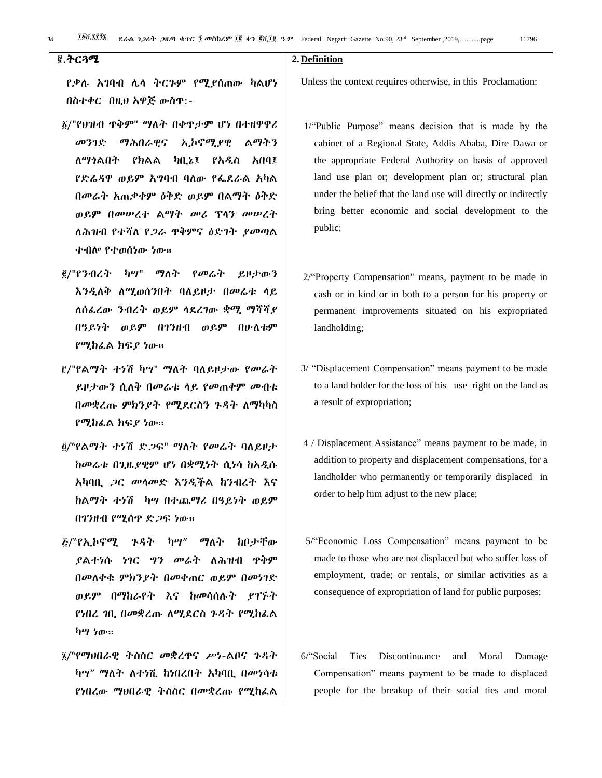## .ትርጓሜ

የቃለ አገባብ ላሊ ትርጉም የሚያሰጠው ካሌሆነ በስተቀር በዚህ አዋጅ ውስጥ:-

- $\delta$ /"የህዝብ ጥቅም" ማለት በቀጥታም ሆነ በተዘዋዋሪ መንገዴ ማሕበራዊና ኢኮኖሚያዊ ሌማትን ሇማጎሌበት የክሌሌ ካቢኔ፤ የአዱስ አበባ፤ የድሬዳዋ ወይም አግባብ ባለው የፌደራል አካል በመሬት አጠቃቀም ዕቅዴ ወይም በሌማት ዕቅዴ ወይም በመሠረተ ሌማት መሪ ፕሊን መሠረት ለሕዝብ የተሻለ የ*ጋ*ራ ዋቅምና ዕድገት ያመጣል ተብሎ የተወሰነው ነው።
- <u>፪</u>/"የንብረት ካሣ" ማለት የመሬት ይዞታውን እንዲለቅ ለሚወሰንበት ባለይዞታ በመሬቱ ላይ ስሰፌረው ንብረት ወይም ሳደረገው ቋሚ ማሻሻያ በዓይነት ወይም በገንዘብ ወይም በሁስቱም የሚከራል ክፍያ ነው።
- ቮ/"የልማት ተነሽ ካሣ" ማለት ባለይዞታው የመሬት ይዞታውን ሲሇቅ በመሬቱ ሊይ የመጠቀም መብቱ በመቋረጡ ምክንያት የሚደርስን ጉዳት ለማካካስ የሚከፌል ክፍያ ነው።
- ፬/"የልማት ተነሽ ድ*ጋ*ፍ" ማለት የመሬት ባለይዞታ ከመሬቱ በጊዜያዊም ሆነ በቋሚነት ሲነሳ ከአዱሱ አካባቢ ጋር መሊመዴ እንዱችሌ ከንብረት እና ከሌማት ተነሽ ካሣ በተጨማሪ በዓይነት ወይም በገንዘብ የሚሰጥ ድጋፍ ነው።
- $\bar{\mathbf{\mathcal{E}}}/$ "የኢኮኖሚ ንዳት ካሣ" ማለት ከቦታቸው ያሌተነሱ ነገር ግን መሬት ሇሕዝብ ጥቅም በመሇቀቁ ምክንያት በመቀጠር ወይም በመነገዴ ወይም በማከራየት እና ከመሳሰለት ያገኙት የነበረ ገቢ በመቋረጡ ስሚደርስ ጉዳት የሚከፌል ካሣ ነው፡፡
- /"የማህበራዊ ትስስር መቋረጥና ሥነ-ሌቦና ጉዲት ካሣ" ማለት ለተነሺ ከነበረበት አካባቢ በመነሳቱ የነበረው ማህበራዊ ትስስር በመቋረጡ የሚከራል

#### **2. Definition**

Unless the context requires otherwise, in this Proclamation:

- 1/"Public Purpose" means decision that is made by the cabinet of a Regional State, Addis Ababa, Dire Dawa or the appropriate Federal Authority on basis of approved land use plan or; development plan or; structural plan under the belief that the land use will directly or indirectly bring better economic and social development to the public;
- 2/"Property Compensation" means, payment to be made in cash or in kind or in both to a person for his property or permanent improvements situated on his expropriated landholding;
- 3/ "Displacement Compensation" means payment to be made to a land holder for the loss of his use right on the land as a result of expropriation;
- 4 / Displacement Assistance" means payment to be made, in addition to property and displacement compensations, for a landholder who permanently or temporarily displaced in order to help him adjust to the new place;
- 5/"Economic Loss Compensation" means payment to be made to those who are not displaced but who suffer loss of employment, trade; or rentals, or similar activities as a consequence of expropriation of land for public purposes;
- 6/"Social Ties Discontinuance and Moral Damage Compensation" means payment to be made to displaced people for the breakup of their social ties and moral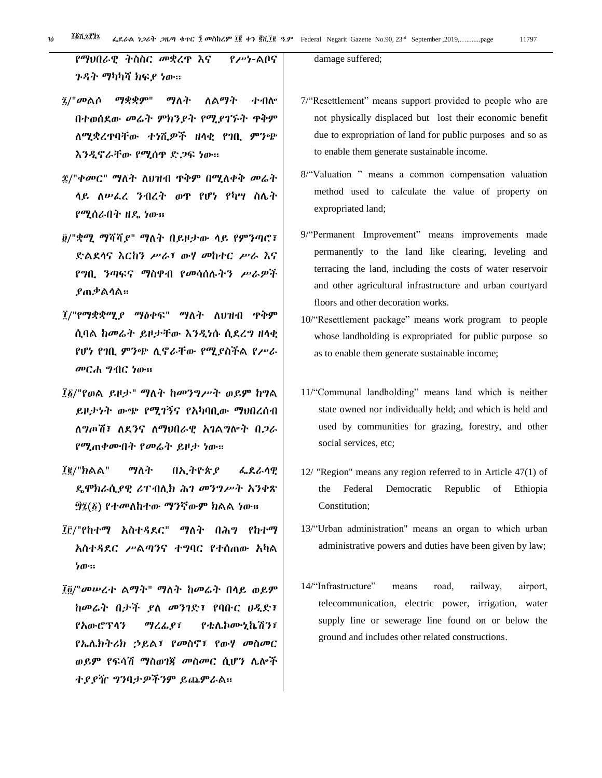የማህበራዊ ትስስር መቋረጥ እና የሥነ-ሌቦና ጉዳት ማካካሻ ክፍያ ነው።

- $\hat{a}$ /"መልሶ ማቋቋም" ማለት ለልማት ተብሎ በተወሰደው መሬት ምክንያት የሚያገኙት ዋቅም ሇሚቋረጥባቸው ተነሺዎች ዘሊቂ የገቢ ምንጭ እንዲኖራቸው የሚሰዋ ድ*ጋ*ፍ ነው።
- ፰/"ቀመር" ማለት ለህዝብ ዋቅም በሚለቀቅ መሬት ላይ ለሠፌረ ንብረት ወዋ የሆነ የካሣ ስሌት የሚሰራበት ዘዳ ነው፡፡
- /"ቋሚ ማሻሻያ" ማሇት በይዞታው ሊይ የምንጣሮ፣ ዴሌዯሊና እርከን ሥራ፣ ውሃ መከተር ሥራ እና የግቢ ንጣፌና ማስዋብ የመሳሰለትን ሥራዎች ያጠቃሌሊሌ፡፡
- ፲/"የማቋቋሚያ ማዕቀፍ" ማለት ለህዝብ ዋቅም ሲባል ከመሬት ይዞታቸው እንዲነሱ ሲደረግ ዘላቂ የሆነ የገቢ ምንጭ ሉኖራቸው የሚያስችሌ የሥራ መርሐ ግብር ነው፡፡
- ፲፩/"የወል ይዞታ" ማለት ከመንግሥት ወይም ከግል ይዞታነት ውጭ የሚገኝና የአካባቢው ማህበረሰብ ሇግጦሽ፣ ሇዯንና ሇማህበራዊ አገሌግልት በጋራ የሚጠቀሙበት የመሬት ይዞታ ነው፡፡
- ፲፪/"ክልል" ማለት በኢትዮጵያ ፌደራላዊ ዳሞክራሲያዊ ሪፐብሉክ ሕገ መንግሥት አንቀጽ ፵፯(፩) የተመለከተው ማንኛውም ክልል ነው።
- ፲፫/"የከተማ አስተዳደር" ማለት በሕግ የከተማ አስተዲዯር ሥሌጣንና ተግባር የተሰጠው አካሌ ነው፡፡
- ፲፬/"መሠረተ ልማት" ማለት ከመሬት በላይ ወይም ከመሬት በታች ያለ መንገድ፣ የባቡር ሀዲድ፣ የአውሮፕሊን ማረፉያ፣ የቴላኮሙኒኬሽን፣ የኤላክትሪክ ኃይሌ፣ የመስኖ፣ የውሃ መስመር ወይም የፍሳሽ ማስወገጃ መስመር ሲሆን ሌሎች ተያያዥ ግንባታዎችንም ይጨምራሌ፡፡

damage suffered;

- 7/"Resettlement" means support provided to people who are not physically displaced but lost their economic benefit due to expropriation of land for public purposes and so as to enable them generate sustainable income.
- 8/"Valuation " means a common compensation valuation method used to calculate the value of property on expropriated land;
- 9/"Permanent Improvement" means improvements made permanently to the land like clearing, leveling and terracing the land, including the costs of water reservoir and other agricultural infrastructure and urban courtyard floors and other decoration works.
- 10/"Resettlement package" means work program to people whose landholding is expropriated for public purpose so as to enable them generate sustainable income;
- 11/"Communal landholding" means land which is neither state owned nor individually held; and which is held and used by communities for grazing, forestry, and other social services, etc;
- 12/ "Region" means any region referred to in Article 47(1) of the Federal Democratic Republic of Ethiopia Constitution;
- 13/"Urban administration" means an organ to which urban administrative powers and duties have been given by law;
- 14/"Infrastructure" means road, railway, airport, telecommunication, electric power, irrigation, water supply line or sewerage line found on or below the ground and includes other related constructions.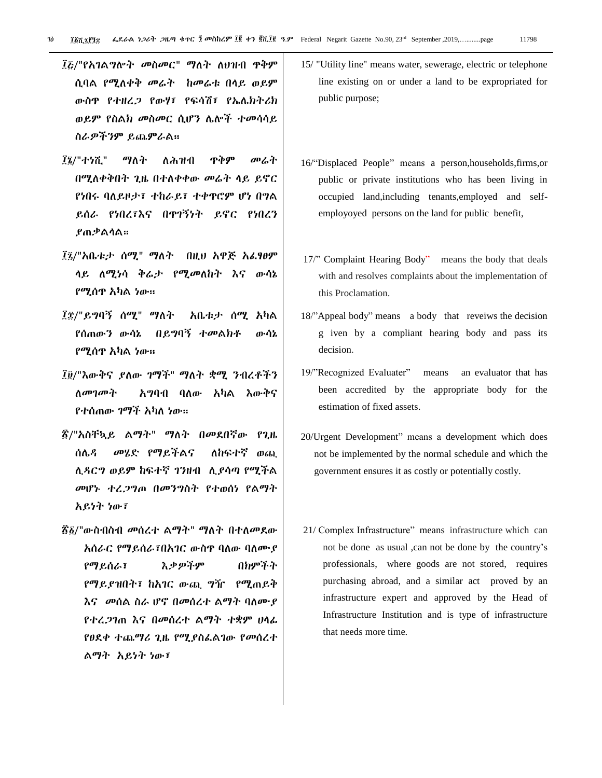- ፲፩/"የአገልግሎት መስመር" ማለት ለህዝብ ዋቅም ሲባል የሚለቀቅ መሬት ከመሬቱ በላይ ወይም ውስጥ የተዘረጋ የውሃ፣ የፌሳሽ፣ የኤላክትሪክ ወይም የስሌክ መስመር ሲሆን ላልች ተመሳሳይ ስራዎችንም ይጨምራሌ፡፡
- ፲፮/"ተነሺ" ማለት ለሕዝብ ዋቅም መሬት በሚለቀቅበት ጊዜ በተለቀቀው መሬት ላይ ይኖር የነበሩ ባለይዞታ፣ ተከራይ፣ ተቀዋሮም ሆነ በግል ይሰራ የነበረ፣እና በጥገኝነት ይኖር የነበረን ያጠቃሌሊሌ፡፡
- ፲፯/"አቤቱታ ሰሚ" ማለት በዚህ አዋጅ አፌፃፀም ላይ ለሚነሳ ቅሬታ የሚመለከት እና ውሳኔ የሚሰጥ አካሌ ነው፡፡
- ፲፰/"ይግባኝ ሰሚ" ማለት አቤቱታ ሰሚ አካል የሰጠውን ውሳኔ በይግባኝ ተመሌክቶ ውሳኔ የሚሰጥ አካሌ ነው፡፡
- ፲፱/"እውቅና ያለው ገማች" ማለት ቋሚ ንብረቶችን ለመገመት አግባብ ባለው አካል እውቅና የተሰጠው ገማች አካለ ነው።
- ፳/"አስቸኳይ ልማት" ማለት በመደበኛው የጊዜ ሰሌ*ዳ መሄድ* የማይችልና ለከፍተኛ ወጪ ሲዳርግ ወይም ከፍተኛ ገንዘብ ሊያሳጣ የሚችል መሆኑ ተረጋግጦ በመንግስት የተወሰነ የሌማት አይነት ነው፣
- ፳፩/"ውስብስብ መሰረተ ልማት" ማለት በተለመደው አሰራር የማይሰራ፣በአገር ውስዋ ባለው ባለሙያ የማይሰራ፣ እቃዎችም በክምችት የማይያዝበት፣ ከአገር ውጪ ግዥ የሚጠይቅ እና መሰል ስራ ሆኖ በመሰረተ ልማት ባለሙያ የተረጋገጠ እና በመሰረተ ሌማት ተቋም ሀሊፉ የፀደቀ ተጨማሪ ጊዜ የሚያስፌልገው የመሰረተ ሌማት አይነት ነው፣
- 15/ "Utility line" means water, sewerage, electric or telephone line existing on or under a land to be expropriated for public purpose;
- 16/"Displaced People" means a person,households,firms,or public or private institutions who has been living in occupied land,including tenants,employed and selfemployoyed persons on the land for public benefit,
- 17/" Complaint Hearing Body" means the body that deals with and resolves complaints about the implementation of this Proclamation.
- 18/"Appeal body" means a body that reveiws the decision g iven by a compliant hearing body and pass its decision.
- 19/"Recognized Evaluater" means an evaluator that has been accredited by the appropriate body for the estimation of fixed assets.
- 20/Urgent Development" means a development which does not be implemented by the normal schedule and which the government ensures it as costly or potentially costly.
- 21/ Complex Infrastructure" means infrastructure which can not be done as usual ,can not be done by the country's professionals, where goods are not stored, requires purchasing abroad, and a similar act proved by an infrastructure expert and approved by the Head of Infrastructure Institution and is type of infrastructure that needs more time.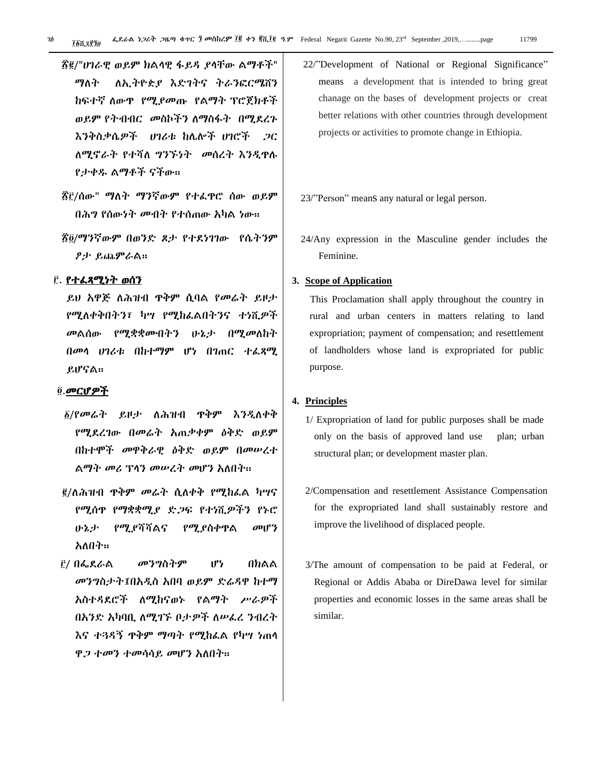- ፳/"ሀገራዊ ወይም ክሌሊዊ ፊይዲ ያሊቸው ሌማቶች" ማለት ለኢትዮዽያ እድገትና ትራንፎርሜሽን ከፍተኛ ለውጥ የሚያመጡ የልማት ፕሮጀክቶች ወይም የትብብር መስኮችን ለማስፋት በሚደረጉ እንቅስቃሴዎች ሀገሪቱ ከላልች ሀገሮች ጋር ለሚኖራት የተሻለ ግንኙነት መሰረት እንዲዋሉ የታቀደ ሌማቶች ናችው፡፡
- ፳፫/ሰው" ማለት ማንኛውም የተራዋሮ ሰው ወይም በሕግ የሰውነት መብት የተሰጠው አካሌ ነው፡፡
- ፳፬/ማንኛውም በወንድ ጾታ የተደነገገው የሴትንም ፆታ ይጨምራሌ፡፡

#### <u>ຼົ</u>. የተፈጻሚነት ወሰን

ይሀ አዋጅ ለሕዝብ ዋቅም ሲባል የመሬት ይዞታ የሚለቀቅበትን፣ ካሣ የሚከፌልበትንና ተነሺዎች መልሰው የሚቋቋሙበትን ሁኔታ በሚመለከት በመላ ሀገሪቱ በከተማም ሆነ በገጠር ተራጻሚ ይሆናሌ፡፡

#### .መርሆዎች

- $\delta$ /የመሬት ይዞታ ለሕዝብ ዋቅም እንዲለቀቅ የሚዯረገው በመሬት አጠቃቀም ዕቅዴ ወይም በከተሞች መዋቅራዊ ዕቅዴ ወይም በመሠረተ ልማት መሪ ፕላን መሠረት መሆን አለበት።
- ፪/ለሕዝብ ዋቅም መሬት ሲለቀቅ የሚከፌል ካሣና የሚሰጥ የማቋቋሚያ ዴጋፌ የተነሺዎችን የኑሮ ሁኔታ የሚያሻሻሌና የሚያስቀጥሌ መሆን አለበት።
- / በፋዯራሌ መንግስትም ሆነ በክሌሌ መንግስታት፤በአዱስ አበባ ወይም ዴሬዲዋ ከተማ አስተዲዯሮች ሇሚከናወኑ የሌማት ሥራዎች በአንድ አካባቢ ለሚገኙ ቦታዎች ለሠፌረ ንብረት እና ተጓዳኝ ዋቅም ማጣት የሚከፌል የካሣ ነጠላ ዋ*ጋ ተመን ተመሳሳይ መ*ሆን አለበት።

22/"Development of National or Regional Significance" means a development that is intended to bring great chanage on the bases of development projects or creat better relations with other countries through development projects or activities to promote change in Ethiopia.

23/"Person" meanS any natural or legal person.

24/Any expression in the Masculine gender includes the Feminine.

#### **3. Scope of Application**

 This Proclamation shall apply throughout the country in rural and urban centers in matters relating to land expropriation; payment of compensation; and resettlement of landholders whose land is expropriated for public purpose.

#### **4. Principles**

- 1/ Expropriation of land for public purposes shall be made only on the basis of approved land use plan; urban structural plan; or development master plan.
- 2/Compensation and resettlement Assistance Compensation for the expropriated land shall sustainably restore and improve the livelihood of displaced people.
- 3/The amount of compensation to be paid at Federal, or Regional or Addis Ababa or DireDawa level for similar properties and economic losses in the same areas shall be similar.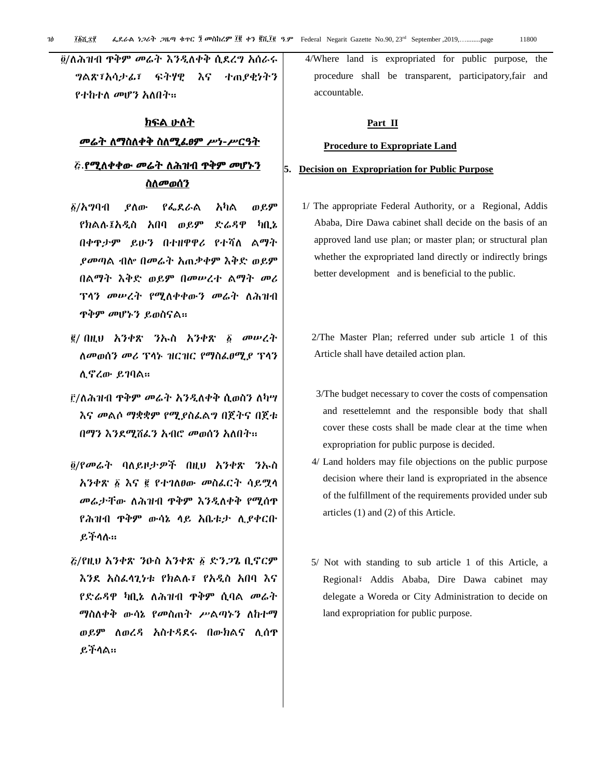፬/ለሕዝብ ዋቅም መሬት እንዲለቀቅ ሲደረግ አሰራሩ ግሌጽ፣አሳታፉ፣ ፌትሃዊ እና ተጠያቂነትን የተከተለ መሆን አለበት።

## ክፍል ሁለት መሬት ለማስለቀቅ ስለሚፌፀም ሥነ-ሥርዓት <u>ሯ.የሚለቀቀው መሬት ለሕዝብ ዋቅም መሆኑን</u>

#### ስለመወሰን

- $\delta$ /አግባብ ያስው የፌደራል አካል ወይም የክሌለ፤አዱስ አበባ ወይም ዴሬዲዋ ካቢኔ በቀዋታም ይሁን በተዘዋዋሪ የተሻለ ልማት ያመጣሌ ብል በመሬት አጠቃቀም እቅዴ ወይም በሌማት እቅዴ ወይም በመሠረተ ሌማት መሪ ፕላን መሠረት የሚለቀቀውን መሬት ለሕዝብ ጥቅም መሆኑን ይወስናሌ፡፡
- ፪/ በዚህ አንቀጽ ንኡስ አንቀጽ ፩ መሠረት ስመወሰን መሪ ፕላኑ ዝርዝር የማስፌፀሚያ ፕላን ሉኖረው ይገባሌ፡፡
- ፫/ለሕዝብ ዋቅም መሬት አንዲለቀቅ ሲወስን ለካሣ እና መልሶ ማቋቋም የሚያስፌልግ በጀትና በጀቱ በማን እንደሚሸፌን አብሮ መወሰን አለበት፡፡
- /የመሬት ባሇይዞታዎች በዚህ አንቀጽ ንኡስ አንቀጽ ፩ እና ፪ የተገለፀው መስፌርት ሳይሟላ መሬታቸው ለሕዝብ ዋቅም እንዲለቀቅ የሚሰዋ የሕዝብ ጥቅም ውሳኔ ሊይ አቤቱታ ሉያቀርቡ ይችሊለ፡፡
- /የዚህ አንቀጽ ንዑስ አንቀጽ ዴንጋጌ ቢኖርም እንደ አስፌሳጊነቱ የክልሉ፣ የአዲስ አበባ እና የድሬዳዋ ካቢኔ ለሕዝብ ዋቅም ሲባል *መ*ሬት ማስለቀቅ ውሳኔ የመስጠት ሥልጣኑን ለከተማ ወይም ለወረዳ አስተዳደሩ በውክልና ሊሰዋ ይችሊሌ፡፡

4/Where land is expropriated for public purpose, the procedure shall be transparent, participatory,fair and accountable.

#### **Part II**

#### **Procedure to Expropriate Land**

#### **5. Decision on Expropriation for Public Purpose**

 1/ The appropriate Federal Authority, or a Regional, Addis Ababa, Dire Dawa cabinet shall decide on the basis of an approved land use plan; or master plan; or structural plan whether the expropriated land directly or indirectly brings better development and is beneficial to the public.

 2/The Master Plan; referred under sub article 1 of this Article shall have detailed action plan.

- 3/The budget necessary to cover the costs of compensation and resettelemnt and the responsible body that shall cover these costs shall be made clear at the time when expropriation for public purpose is decided.
- 4/ Land holders may file objections on the public purpose decision where their land is expropriated in the absence of the fulfillment of the requirements provided under sub articles (1) and (2) of this Article.
- 5/ Not with standing to sub article 1 of this Article, a Regional፣ Addis Ababa, Dire Dawa cabinet may delegate a Woreda or City Administration to decide on land expropriation for public purpose.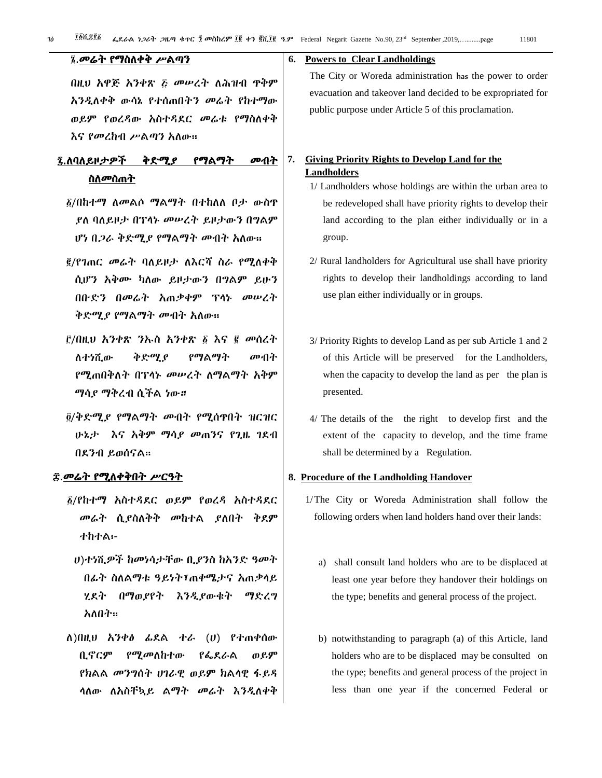| ፤ መሬት የማስለቀቅ ሥልጣን                                                                                                 |    | 6. Powers to Clear Landholdings                                                                                                                                       |
|-------------------------------------------------------------------------------------------------------------------|----|-----------------------------------------------------------------------------------------------------------------------------------------------------------------------|
| በዚህ አዋጅ አንቀጽ ፩ መሠረት ለሕዝብ ዋቅም<br>አንዲስቀቅ ውሳኔ የተሰጠበተን መሬት የከተማው<br>ወይም የወረዳው አስተዳደር መሬቱ የማስለቀቅ<br>እና የመረከብ ሥልጣን አለው። |    | The City or Woreda administration has the power to<br>evacuation and takeover land decided to be expropriated<br>public purpose under Article 5 of this proclamation. |
| ቅድሚያ<br>፯.ለባለይዞታዎች<br>የማልማት<br>መብት<br>ስለመስጠት                                                                      | 7. | <b>Giving Priority Rights to Develop Land for the</b><br><b>Landholders</b><br>1/ Landholders whose holdings are within the urban a                                   |

- ፩/በከተማ ለመልሶ ማልማት በተከለለ ቦ*ታ* ውስዋ ያለ ባለይዞታ በፕላኑ መሠረት ይዞታውን በግልም ሆነ በ*ጋራ* ቅድሚያ የማልማት መብት አስው።
- <u>፪</u>/የገጠር *መሬት* ባለይዞታ ለእርሻ ስራ የሚስቀቅ ሲሆን አቅሙ ካለው ይዞታውን በግልም ይሁን በቡዴን በመሬት አጠቃቀም ፕሊኑ መሠረት ቅድሚያ የማልማት መብት አለው።
- <u>ể/በዚህ አንቀጽ ንኡስ አንቀጽ ፩ እና ፪ መሰረት</u> ሇተነሺው ቅዴሚያ የማሌማት መብት የሚጠበቅለት በፕላኑ መሠረት ለማልማት አቅም ማሳያ ማቅረብ ሲችሌ ነው።
- /ቅዴሚያ የማሌማት መብት የሚሰጥበት ዝርዝር ሁኔታ እና አቅም ማሳ*ያ መ*ጠንና የጊዜ ገደብ በዯንብ ይወሰናሌ፡፡

#### <u>ድ.መሬት የሚለቀቅበት ሥርዓት</u>

- /የከተማ አስተዲዯር ወይም የወረዲ አስተዲዯር መሬት ሲያስለቅቅ መከተል ያለበት ቅደም ተከተሌ፡-
	- ሀ)ተነሺዎች ከመነሳታቸው ቢያንስ ከአንዴ ዓመት በፊት ስለልማቱ ዓይነት፣ጠቀሜታና አጠቃላይ ሂደት በማወያየት እንዲያውቁት ማድረግ አለበት።
- ሇ)በዚህ አንቀፅ ፉዯሌ ተራ (ሀ) የተጠቀሰው ቢኖርም የሚመለከተው የፌደራል ወይም የክሌሌ መንግሰት ሀገራዊ ወይም ክሌሊዊ ፊይዲ ሳለው ለአስቸኳይ ልማት መሬት እንዲለቀቅ

# The City or Woreda administration has the power to order evacuation and takeover land decided to be expropriated for

- 1/ Landholders whose holdings are within the urban area to be redeveloped shall have priority rights to develop their land according to the plan either individually or in a group.
- 2/ Rural landholders for Agricultural use shall have priority rights to develop their landholdings according to land use plan either individually or in groups.
- 3/ Priority Rights to develop Land as per sub Article 1 and 2 of this Article will be preserved for the Landholders, when the capacity to develop the land as per the plan is presented.
- 4/ The details of the the right to develop first and the extent of the capacity to develop, and the time frame shall be determined by a Regulation.

#### **8. Procedure of the Landholding Handover**

- 1/The City or Woreda Administration shall follow the following orders when land holders hand over their lands:
	- a) shall consult land holders who are to be displaced at least one year before they handover their holdings on the type; benefits and general process of the project.
	- b) notwithstanding to paragraph (a) of this Article, land holders who are to be displaced may be consulted on the type; benefits and general process of the project in less than one year if the concerned Federal or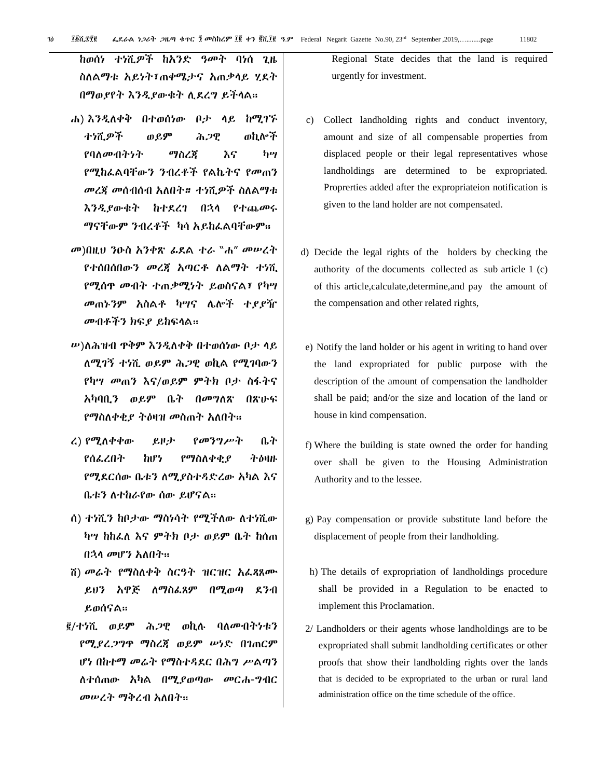ከወሰነ ተነሺዎች ከአንዴ ዓመት ባነሰ ጊዜ ስለልማቱ አይነት፣ጠቀሜታና አጠቃላይ ሂደት በማወያየት እንዱያውቁት ሉዯረግ ይችሊሌ፡፡

- ሐ) እንዲለቀቅ በተወሰነው ቦታ ላይ ከሚገኙ ተነሺዎች ወይም ሕጋዊ ወኪልች የባለመብትነት ማስረጃ እና ካሣ የሚከፇሌባቸውን ንብረቶች የሌኬትና የመጠን መረጃ መሰብሰብ አለበት። ተነሺዎች ስለልማቱ እንዲያውቁት ከተደረገ በኋላ የተጨመሩ ማናቸውም ንብረቶች ካሳ አይከፌልባቸውም።
- መ)በዚህ ንዑስ አንቀጽ ፉዯሌ ተራ "ሐ" መሠረት የተሰበሰበውን መረጃ አጣርቶ ለልማት ተነሺ የሚሰጥ መብት ተጠቃሚነት ይወስናሌ፣ የካሣ መጠኑንም አስሌቶ ካሣና ላልች ተያያዥ መብቶችን ክፍያ ይከፍላል።
- ሥ)ለሕዝብ ዋቅም እንዲለቀቅ በተወሰነው ቦታ ሳይ ሇሚገኝ ተነሺ ወይም ሕጋዊ ወኪሌ የሚገባውን የካሣ መጠን እና/ወይም ምትክ ቦታ ስፊትና አካባቢን ወይም ቤት በመግለጽ በጽሁፍ የማስለቀቂያ ትዕዛዝ መስጠት አለበት።
- ረ) የሚለቀቀው ይዞታ የመንግሥት ቤት የሰፌረበት ከሆነ የማስለቀቂያ ትዕዛዙ የሚደርሰው ቤቱን ስሚያስተዳድረው አካል እና ቤቱን ለተከራየው ሰው ይሆናል።
- ሰ) ተነሺን ከቦታው ማስነሳት የሚችለው ለተነሺው ካሣ ከከፌለ እና ምትክ ቦታ ወይም ቤት ከሰጠ በኋላ መሆን አለበት።
- ሽ) መሬት የማስለቀቅ ስርዓት ዝርዝር አፌጻጸሙ ይህን አዋጅ ለማስፌጸም በሚወጣ ደንብ ይወሰናሌ፡፡
- ፪/ተነሺ ወይ**ም** ሕ*ጋ*ዊ ወኪሉ ባለመብትነቱን የሚያረጋግጥ ማስረጃ ወይም ሠነዴ በገጠርም ሆነ በከተማ መሬት የማስተዳደር በሕግ ሥልጣን ሇተሰጠው አካሌ በሚያወጣው መርሐ-ግብር መሠረት ማቅረብ አለበት፡፡

Regional State decides that the land is required urgently for investment.

- c) Collect landholding rights and conduct inventory, amount and size of all compensable properties from displaced people or their legal representatives whose landholdings are determined to be expropriated. Proprerties added after the expropriateion notification is given to the land holder are not compensated.
- d) Decide the legal rights of the holders by checking the authority of the documents collected as sub article 1 (c) of this article,calculate,determine,and pay the amount of the compensation and other related rights,
- e) Notify the land holder or his agent in writing to hand over the land expropriated for public purpose with the description of the amount of compensation the landholder shall be paid; and/or the size and location of the land or house in kind compensation.
- f) Where the building is state owned the order for handing over shall be given to the Housing Administration Authority and to the lessee.
- g) Pay compensation or provide substitute land before the displacement of people from their landholding.
- h) The details of expropriation of landholdings procedure shall be provided in a Regulation to be enacted to implement this Proclamation.
- 2/ Landholders or their agents whose landholdings are to be expropriated shall submit landholding certificates or other proofs that show their landholding rights over the lands that is decided to be expropriated to the urban or rural land administration office on the time schedule of the office.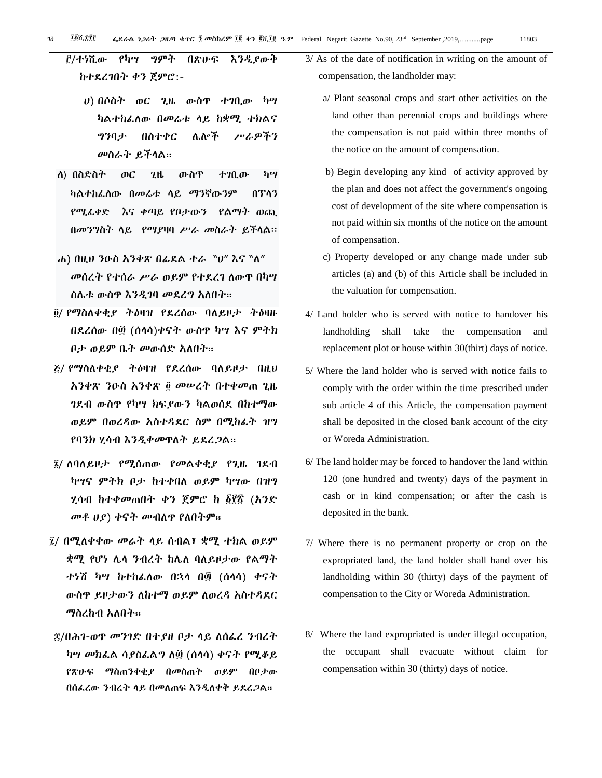## /ተነሺው የካሣ ግምት በጽሁፌ እንዱያውቅ ከተዯረገበት ቀን ጀምሮ:-

- ሀ) በሶስት ወር ጊዜ ውስጥ ተገቢው ካሣ ካልተከፌለው በመሬቱ ላይ ከቋሚ ተክልና ግንባታ በስተቀር ላልች ሥራዎችን መስራት ይችሊሌ፡፡
- ሇ) በስድስት ወር ጊዜ ውስጥ ተገቢው ካሣ ካልተከፈሰው በመሬቱ ላይ ማንኛውንም በፕላን የሚፈቀድ እና ቀጣይ የቦታውን የልማት ወጪ በመንግስት ሊይ የማያዛባ ሥራ መስራት ይችሊል፡፡
- ሐ) በዚሀ ንዑስ አንቀጽ በፌደል ተራ "ሀ" እና "ለ" መሰረት የተሰራ ሥራ ወይም የተደረገ ለውዋ በካሣ ስሌቱ ውስጥ እንዲገባ መደረግ አለበት።
- ፬/ የማስለቀቂ*ያ* ትዕዛዝ የደረሰው ባለይዞታ ትዕዛዙ በዯረሰው በ፴ (ሰሊሳ)ቀናት ውስጥ ካሣ እና ምትክ ቦታ ወይም ቤት መውሰድ አለበት።
- $\zeta$ / የማስለቀቂያ ትዕዛዝ የደረሰው ባለይዞታ በዚህ አንቀጽ ንዑስ አንቀጽ መሠረት በተቀመጠ ጊዜ ገደብ ውስጥ የካሣ ክፍያውን ካልወሰደ በከተማው ወይም በወረዳው አስተዳደር ስም በሚከራት ዝግ የባንክ ሂሳብ እንዲቀመዋለት ይደረጋል።
- $\bar{y}$ / ለባለይዞታ የሚሰጠው የመልቀቂያ የጊዜ ገደብ ካሣና ምትክ ቦታ ከተቀበለ ወይም ካሣው በዝግ ሂሳብ ከተቀመጠበት ቀን ጀምሮ ከ ፩፻፳ (አንዴ መቶ ሀያ) ቀናት መብለዋ የለበትም።
- 2/ በሚለቀቀው መሬት ላይ ሰብል፣ ቋሚ ተክል ወይም ቋሚ የሆነ ሌላ ንብረት ከሌለ ባለይዞታው የልማት ተነሽ ካሣ ከተከፌለው በኋላ በ፴ (ሰላሳ) ቀናት ውስዋ ይዞታውን ለከተማ ወይም ለወረዳ አስተዳደር ማስረከብ አለበት።
- $\ddot{\mathcal{R}}$ /በሕገ-ወዋ መንገድ በተያዘ ቦታ ላይ ለሰፌረ ንብረት ካሣ መክፌል ሳያስፌልግ ለ፴ (ሰላሳ) ቀናት የሚቆይ የጽሁፌ ማስጠንቀቂያ በመስጠት ወይም በቦታው በሰፌረው ንብረት ላይ በመለጠፍ እንዲለቀቅ ይደረ*ጋ*ል፡፡
- 3/ As of the date of notification in writing on the amount of compensation, the landholder may:
	- a/ Plant seasonal crops and start other activities on the land other than perennial crops and buildings where the compensation is not paid within three months of the notice on the amount of compensation.
	- b) Begin developing any kind of activity approved by the plan and does not affect the government's ongoing cost of development of the site where compensation is not paid within six months of the notice on the amount of compensation.
	- c) Property developed or any change made under sub articles (a) and (b) of this Article shall be included in the valuation for compensation.
- 4/ Land holder who is served with notice to handover his landholding shall take the compensation and replacement plot or house within 30(thirt) days of notice.
- 5/ Where the land holder who is served with notice fails to comply with the order within the time prescribed under sub article 4 of this Article, the compensation payment shall be deposited in the closed bank account of the city or Woreda Administration.
- 6/ The land holder may be forced to handover the land within 120 (one hundred and twenty) days of the payment in cash or in kind compensation; or after the cash is deposited in the bank.
- 7/ Where there is no permanent property or crop on the expropriated land, the land holder shall hand over his landholding within 30 (thirty) days of the payment of compensation to the City or Woreda Administration.
- 8/ Where the land expropriated is under illegal occupation, the occupant shall evacuate without claim for compensation within 30 (thirty) days of notice.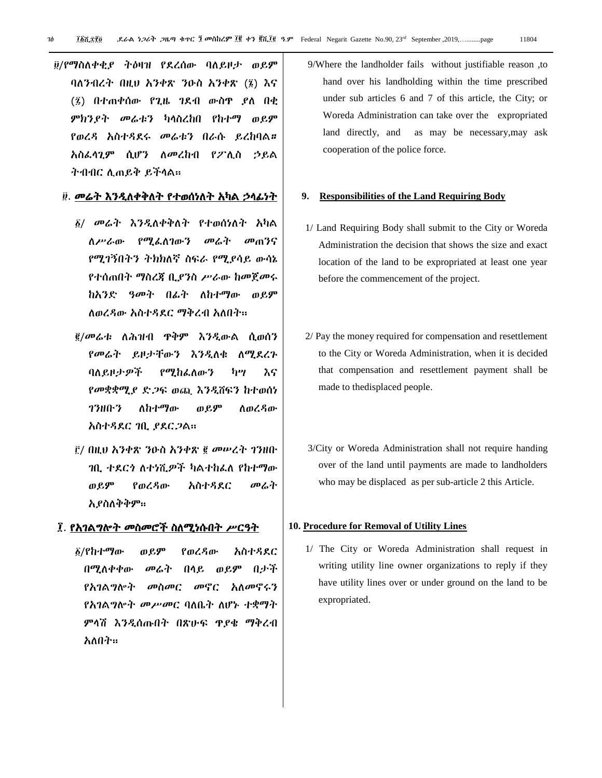፱/የማስለቀቂያ ትዕዛዝ የደረሰው ባለይዞታ ወይም ባለንብረት በዚህ አንቀጽ ንዑስ አንቀጽ (፮) እና (፤) በተጠቀሰው የጊዜ ገደብ ውስዋ ያለ በቂ ምክንያት መሬቱን ካሊስረከበ የከተማ ወይም የወረዳ አስተዳደሩ መሬቱን በራሱ ይረከባል። አስፌሳጊም ሲሆን ለመረከብ የፖሊስ ኃይል ትብብር ሉጠይቅ ይችሊሌ፡፡

#### ፱. መሬት እንዲለቀቅለት የተወሰነለት አካል ኃላፊነት

- / መሬት እንዱሇቀቅሇት የተወሰነሇት አካሌ ስሥራው የሚፌስገውን መሬት መጠንና የሚገኝበትን ትክክለኛ ስፍራ የሚያሳይ ውሳኔ የተሰጠበት ማስረጃ ቢያንስ ሥራው ከመጀመሩ ከአንድ ዓመት በፊት ለከተማው ወይም ለወረዳው አስተዳደር ማቅረብ አለበት።
- /መሬቱ ሇሕዝብ ጥቅም እንዱውሌ ሲወሰን የመሬት ይዞታቸውን እንዲለቁ ለሚደረጉ ባለይዞታዎች የሚከፌለውን ካሣ እና የመቋቋሚያ ድጋፍ ወጪ እንዲሸፍን ከተወሰነ ገንዘቡን ለከተማው ወይም <u>ለወረዳው</u> አስተዳደር ገቢ ያደርጋል፡፡
- <u>ሮ/ በዚህ አንቀጽ ንዑስ አንቀጽ ፪ መሠረት ገንዘቡ</u> ገቢ ተደርጎ ለተነሺዎች ካልተከፌለ የከተማው ወይም የወረዳው አስተዳደር መሬት አያስሇቅቅም፡፡

#### ፲. የአገልግሎት መስመሮች ስለሚነሱበት ሥርዓት

/የከተማው ወይም የወረዲው አስተዲዯር በሚሇቀቀው መሬት በሊይ ወይም በታች የአገልግሎት መስመር መኖር አለመኖሩን የአገልግሎት *መሥመር* ባለቤት ለሆኑ ተቋማት ምላሽ እንዲሰጡበት በጽሁፍ ጥያቄ ማቅረብ አለበት።

9/Where the landholder fails without justifiable reason ,to hand over his landholding within the time prescribed under sub articles 6 and 7 of this article, the City; or Woreda Administration can take over the expropriated land directly, and as may be necessary,may ask cooperation of the police force.

#### **9. Responsibilities of the Land Requiring Body**

- 1/ Land Requiring Body shall submit to the City or Woreda Administration the decision that shows the size and exact location of the land to be expropriated at least one year before the commencement of the project.
- 2/ Pay the money required for compensation and resettlement to the City or Woreda Administration, when it is decided that compensation and resettlement payment shall be made to thedisplaced people.
- 3/City or Woreda Administration shall not require handing over of the land until payments are made to landholders who may be displaced as per sub-article 2 this Article.

#### **10. Procedure for Removal of Utility Lines**

1/ The City or Woreda Administration shall request in writing utility line owner organizations to reply if they have utility lines over or under ground on the land to be expropriated.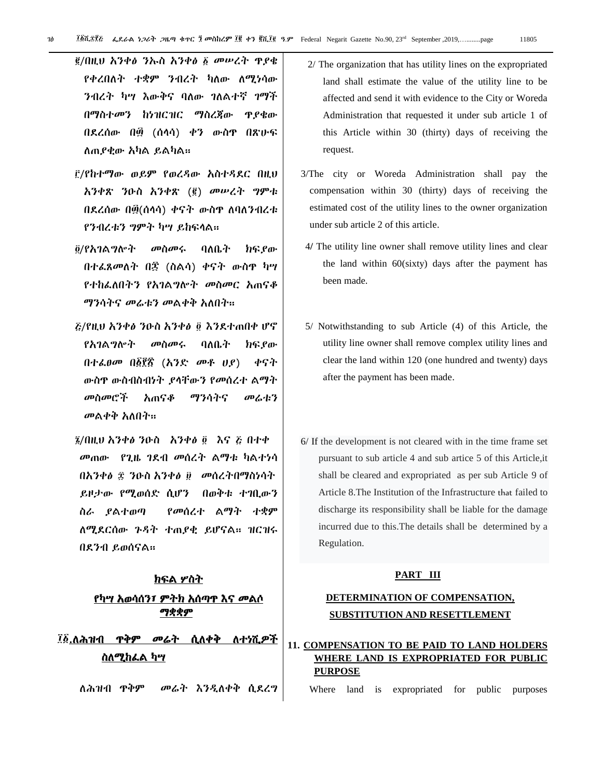- /በዚህ አንቀፅ ንኡስ አንቀፅ መሠረት ጥያቄ የቀረበለት ተቋም ንብረት ካለው ለሚነሳው ንብረት ካሣ እውቅና ባለው ገለልተኛ ገማች በማስተመን ከነዝርዝር ማስረጃው ጥያቄው በደረሰው በ፴ (ሰላሳ) ቀን ውስዋ በጽሁፍ ሇጠያቂው አካሌ ይሌካሌ፡፡
- /የከተማው ወይም የወረዲው አስተዲዯር በዚህ አንቀጽ ንዑስ አንቀጽ (፪) መሠረት ግምቱ በደረሰው በ፴(ሰላሳ) ቀናት ውስዋ ለባለንብረቱ የንብረቱን ግምት ካሣ ይከፍላል።
- <u>፬/የአገልግሎት መስመሩ ባለቤት ክፍያው</u> በተፈጸመለት በ፷ (ስልሳ) ቀናት ውስጥ ካሣ የተከፌለበትን የአገልግሎት መስመር አጠናቆ ማንሳትና መሬቱን መልቀቅ አለበት።
- /የዚህ አንቀፅ ንዑስ አንቀፅእንዯተጠበቀ ሆኖ *የአገ*ል*ግ*ሎት መስመሩ ባለቤት ክፍ*ያ*ው በተፌፀመ በ፩፻፳ (አንድ መቶ ሀያ) ቀናት ውስጥ ውስብስብነት ያሊቸውን የመሰረተ ሌማት መስመሮች አጠናቆ ማንሳትና መሬቱን መልቀቅ አለበት።
- ൂ/በዚህ አንቀፅ ንዑስ የአንቀፅ ፬ እና ሯ በተቀ መጠው የጊዜ ገዯብ መሰረት ሌማቱ ካሌተነሳ በአንቀፅ ፰ ንዑስ አንቀፅ ፱ መሰረትበማስነሳት ይዞታው የሚወሰዴ ሲሆን በወቅቱ ተገቢውን ስራ ያሌተወጣ የመሰረተ ሌማት ተቋም ሇሚዯርሰው ጉዲት ተጠያቂ ይሆናሌ፡፡ ዝርዝሩ በዯንብ ይወሰናሌ፡፡

## ክፍል ሦስት የካሣ አወሳሰን፣ ምትክ አሰጣጥ እና መሌሶ ማቋቋም

## ፲፩<u>.ለሕዝብ ዋቅም መሬት ሲለቀቅ ለተነሺዎች</u> <u>ስለሚከፌል ካሣ</u>

ለሕዝብ ዋቅም መሬት እንዲለቀቅ ሲደረግ

- 2/ The organization that has utility lines on the expropriated land shall estimate the value of the utility line to be affected and send it with evidence to the City or Woreda Administration that requested it under sub article 1 of this Article within 30 (thirty) days of receiving the request.
- 3/The city or Woreda Administration shall pay the compensation within 30 (thirty) days of receiving the estimated cost of the utility lines to the owner organization under sub article 2 of this article.
- 4**/** The utility line owner shall remove utility lines and clear the land within 60(sixty) days after the payment has been made.
- 5/ Notwithstanding to sub Article (4) of this Article, the utility line owner shall remove complex utility lines and clear the land within 120 (one hundred and twenty) days after the payment has been made.
- 6/ If the development is not cleared with in the time frame set pursuant to sub article 4 and sub artice 5 of this Article,it shall be cleared and expropriated as per sub Article 9 of Article 8.The Institution of the Infrastructure that failed to discharge its responsibility shall be liable for the damage incurred due to this.The details shall be determined by a Regulation.

#### **PART III**

## **DETERMINATION OF COMPENSATION, SUBSTITUTION AND RESETTLEMENT**

#### **11. COMPENSATION TO BE PAID TO LAND HOLDERS WHERE LAND IS EXPROPRIATED FOR PUBLIC PURPOSE**

Where land is expropriated for public purposes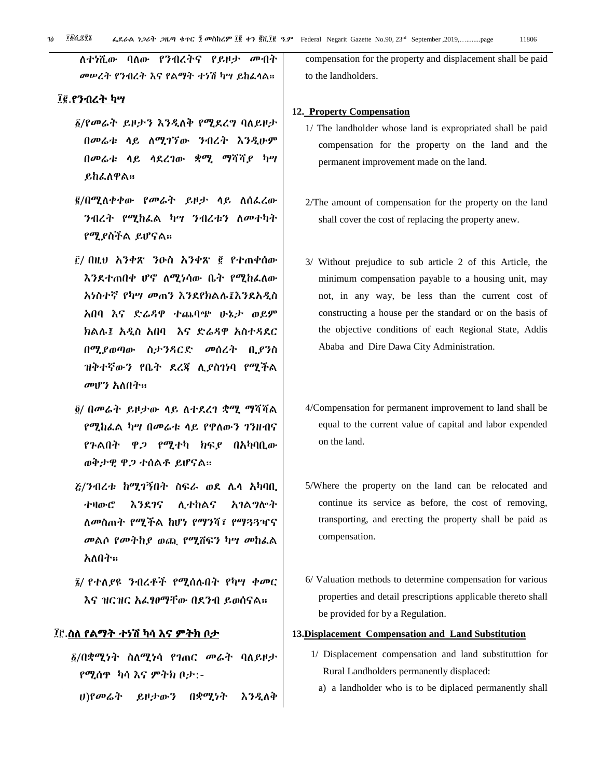ለተነሺው ባለው የንብረትና የይዞታ መብት መሠረት የንብረት እና የልማት ተነሽ ካሣ ይከፈላል።

#### ፲፪.የንብረት ካሣ

- $\S$ /የመሬት ይዞታን እንዲለቅ የሚደረግ ባለይዞታ በመሬቱ ሊይ ሇሚገኘው ንብረት እንዱሁም በመሬቱ ሊይ ሊዯረገው ቋሚ ማሻሻያ ካሣ ይከፌለዋል።
- <u>፪</u>/በሚለቀቀው የመሬት ይዞታ ላይ ለሰፌረው ንብረት የሚከፌል ካሣ ንብረቱን ለመተካት የሚያስችሌ ይሆናሌ፡፡
- / በዚህ አንቀጽ ንዑስ አንቀጽ የተጠቀሰው እንደተጠበቀ ሆኖ ለሚነሳው ቤት የሚከፌለው አነስተኛ የካሣ መጠን እንዯየክሌለ፤እንዯአዱስ አበባ እና ዴሬዲዋ ተጨባጭ ሁኔታ ወይም ክሌለ፤ አዱስ አበባ እና ዴሬዲዋ አስተዲዯር በሚያወጣው ስታንዲርዴ መሰረት ቢያንስ ዝቅተኛውን የቤት ዯረጃ ሉያስገነባ የሚችሌ መሆን አለበት።
- <u>@</u>/ በመሬት ይዞታው ሳይ ለተደረገ ቋሚ ማሻሻል የሚከፌል ካሣ በመሬቱ ላይ የዋለውን ገንዘብና የጉልበት ዋ*ጋ* የሚተካ ክፍ*ያ* በአካባቢው ወቅታዊ ዋጋ ተሰሌቶ ይሆናሌ፡፡
- /ንብረቱ ከሚገኝበት ስፌራ ወዯ ላሊ አካባቢ ተዛውሮ እንደገና ሊተከልና አገልግሎት ሇመስጠት የሚችሌ ከሆነ የማንሻ፣ የማጓጓዣና መልሶ የመትከያ ወጪ የሚሸፍን ካሣ መከፌል አለበት፡፡
- $\tilde{y}$ / የተለያዩ ንብረቶች የሚሰሉበት የካሣ ቀመር እና ዝርዝር አፌፃፀማቸው በደንብ ይወሰናል።

## ፲፫.ስለ የልማት ተነሽ ካሳ እና ምትክ ቦታ

- ፩/በቋሚነት ስለሚነሳ የገጠር መሬት ባለይዞታ የሚሰጥ ካሳ እና ምትክ ቦታ:-
	- ሀ)የመሬት ይዞታውን በቋሚነት እንዲለቅ

compensation for the property and displacement shall be paid to the landholders.

#### **12. Property Compensation**

- 1/ The landholder whose land is expropriated shall be paid compensation for the property on the land and the permanent improvement made on the land.
- 2/The amount of compensation for the property on the land shall cover the cost of replacing the property anew.
- 3/ Without prejudice to sub article 2 of this Article, the minimum compensation payable to a housing unit, may not, in any way, be less than the current cost of constructing a house per the standard or on the basis of the objective conditions of each Regional State, Addis Ababa and Dire Dawa City Administration.
- 4/Compensation for permanent improvement to land shall be equal to the current value of capital and labor expended on the land.
- 5/Where the property on the land can be relocated and continue its service as before, the cost of removing, transporting, and erecting the property shall be paid as compensation.
- 6/ Valuation methods to determine compensation for various properties and detail prescriptions applicable thereto shall be provided for by a Regulation.

#### **13.Displacement Compensation and Land Substitution**

- 1/ Displacement compensation and land substituttion for Rural Landholders permanently displaced:
	- a) a landholder who is to be diplaced permanently shall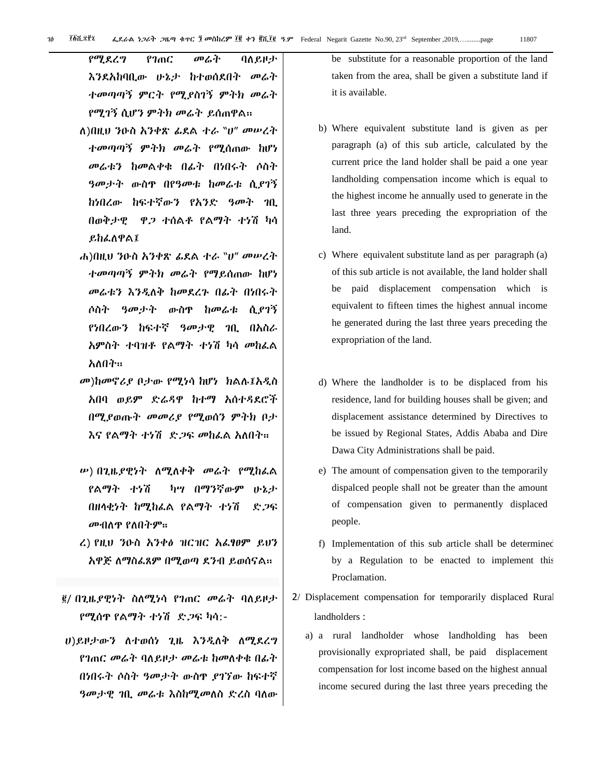የሚደረግ የገጠር መሬት ባለይዞታ እንደአከባቢው ሁኔታ ከተወሰደበት መሬት ተመጣጣኝ ምርት የሚያስገኝ ምትክ መሬት የሚገኝ ሲሆን ምትክ መሬት ይሰጠዋሌ፡፡

- ሇ)በዚህ ንዑስ አንቀጽ ፉዯሌ ተራ "ሀ" መሠረት ተመጣጣኝ ምትክ መሬት የሚሰጠው ከሆነ መሬቱን ከመሌቀቁ በፉት በነበሩት ሶስት ዓመታት ውስጥ በየዓመቱ ከመሬቱ ሲያገኝ ከነበረው ከፍተኛውን የአንድ ዓመት ገቢ በወቅታዊ ዋጋ ተሰሌቶ የሌማት ተነሽ ካሳ ይከፌለዋል፤
- ሐ)በዚህ ንዑስ አንቀጽ *ፌ*ደል ተራ <sup></sup>ነሆ መሠረት ተመጣጣኝ ምትክ መሬት የማይሰጠው ከሆነ መሬቱን እንዲለቅ ከመደረጉ በፊት በነበሩት ሶስት ዓመታት ውስጥ ከመሬቱ ሲያገኝ የነበረው*ን* ከፍተኛ *ዓመታዊ ገ*ቢ በአስራ አምስት ተባዝቶ የልማት ተነሽ ካሳ መከፌል አለበት።
- መ)ከመኖሪያ ቦታው የሚነሳ ከሆነ ክሌለ፤አዱስ አበባ ወይም ድሬዳዋ ከተማ አሰተዳደሮች በሚያወጡት መመሪያ የሚወሰን ምትክ ቦታ እና የልማት ተነሽ ድ*ጋ*ፍ መከፌል አለበት።
- ሥ) በጊዜያዊነት ለሚለቀቅ መሬት የሚከፌል የሌማት ተነሽ ካሣ በማንኛውም ሁኔታ በዘላቂነት ከሚከፌል የልማት ተነሽ ደጋፍ መብለዋ የለበትም።
- ረ) የዚህ ንዑስ አንቀፅ ዝርዝር አፌፃፀም ይህን አዋጅ ለማስፌጸም በሚወጣ ደንብ ይወሰናል።
- $/$  በጊዜያዊነት ስለሚነሳ የገጠር መሬት ባለይዞታ የሚሰጥ የሌማት ተነሽ ዴጋፌ ካሳ:-
- ሀ)ይዞታውን ለተወሰነ ጊዜ እንዲለቅ ለሚደረግ የገጠር መሬት ባለይዞታ መሬቱ ከመለቀቁ በፊት በነበሩት ሶስት ዓመታት ውስዋ ያገኘው ከፍተኛ ዓመታዊ *ገ*ቢ መሬቱ እስከሚመለስ ድረስ ባለው

be substitute for a reasonable proportion of the land taken from the area, shall be given a substitute land if it is available.

- b) Where equivalent substitute land is given as per paragraph (a) of this sub article, calculated by the current price the land holder shall be paid a one year landholding compensation income which is equal to the highest income he annually used to generate in the last three years preceding the expropriation of the land.
- c) Where equivalent substitute land as per paragraph (a) of this sub article is not available, the land holder shall be paid displacement compensation which is equivalent to fifteen times the highest annual income he generated during the last three years preceding the expropriation of the land.
- d) Where the landholder is to be displaced from his residence, land for building houses shall be given; and displacement assistance determined by Directives to be issued by Regional States, Addis Ababa and Dire Dawa City Administrations shall be paid.
- e) The amount of compensation given to the temporarily dispalced people shall not be greater than the amount of compensation given to permanently displaced people.
- f) Implementation of this sub article shall be determined by a Regulation to be enacted to implement this Proclamation.
- 2/ Displacement compensation for temporarily displaced Rural landholders :
	- a) a rural landholder whose landholding has been provisionally expropriated shall, be paid displacement compensation for lost income based on the highest annual income secured during the last three years preceding the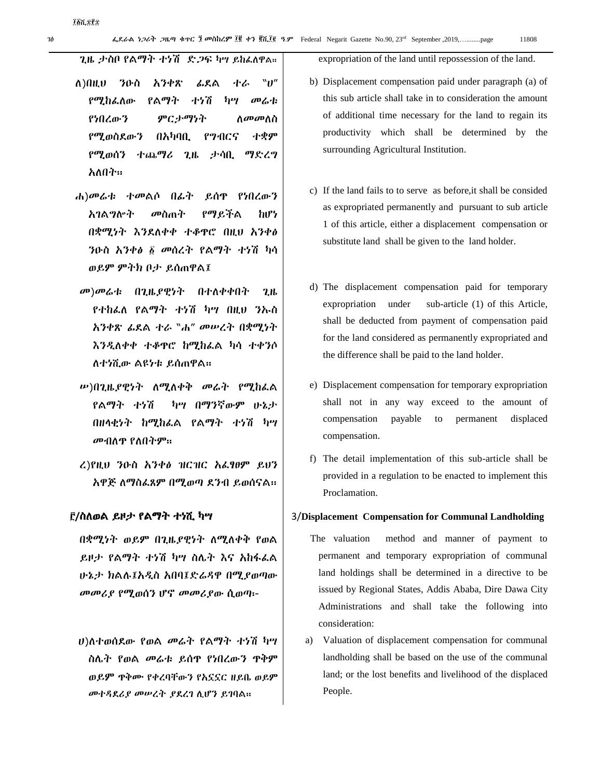ጊዜ ታስቦ የልማት ተነሽ ደጋፍ ካሣ ይከፌለዋል፡፡

- ሇ)በዚህ ንዑስ አንቀጽ ፉዯሌ ተራ "ሀ" የሚከፌለው የልማት ተነሽ ካሣ መሬቱ የነበረው*ን ምርታማነት ስመመ*ስስ የሚወስደውን በአካባቢ የግብርና ተቋም የሚወሰን ተጨማሪ ጊዜ ታሳቢ ማዴረግ አለበት።
- ሐ)መሬቱ ተመሌሶ በፉት ይሰጥ የነበረውን አገሌግልት መስጠት የማይችሌ ከሆነ በቋሚነት እንደለቀቀ ተቆዋሮ በዚህ አንቀፅ ንዑስ አንቀፅ ፩ መሰረት የልማት ተነሽ ካሳ ወይም ምትክ ቦታ ይሰጠዋሌ፤
- መ)መሬቱ በጊዜያዊነት በተሇቀቀበት ጊዜ የተከፌለ የልማት ተነሽ ካሣ በዚህ ንኡስ አንቀጽ ፉዯሌ ተራ "ሐ" መሠረት በቋሚነት እንዲለቀቀ ተቆዋሮ ከሚከፌል ካሳ ተቀንሶ ሇተነሺው ሌዩነቱ ይሰጠዋሌ፡፡
- ሥ)በጊዜያዊነት ስሚስቀቅ መሬት የሚከፌል የሌማት ተነሽ ካሣ በማንኛውም ሁኔታ በዘላቂነት ከሚከፌል የልማት ተነሽ ካሣ መብለዋ የለበትም።
- ረ)የዚህ ንዑስ አንቀፅ ዝርዝር አፌፃፀም ይህን አዋጅ ለማስፌጸም በሚወጣ ደንብ ይወሰናል።

#### /ስሇወሌ ይዞታ የሌማት ተነሺ ካሣ

በቋሚነት ወይም በጊዜያዊነት ስሚስቀቅ የወል ይዞታ የልማት ተነሽ ካሣ ስሌት እና አከፋፌል ሁኔታ ክሌለ፤አዱስ አበባ፤ዴሬዲዋ በሚያወጣው መመሪያ የሚወሰን ሆኖ መመሪያው ሲወጣ፡-

ሀ)ለተወሰደው የወል መሬት የልማት ተነሽ ካሣ ስላት የወሌ መሬቱ ይሰጥ የነበረውን ጥቅም ወይም ጥቅሙ የቀረባቸውን የአኗኗር ዘይቤ ወይም መተዳደሪያ መሠረት ያደረገ ሲሆን ይገባል።

expropriation of the land until repossession of the land.

- b) Displacement compensation paid under paragraph (a) of this sub article shall take in to consideration the amount of additional time necessary for the land to regain its productivity which shall be determined by the surrounding Agricultural Institution.
- c) If the land fails to to serve as before,it shall be consided as expropriated permanently and pursuant to sub article 1 of this article, either a displacement compensation or substitute land shall be given to the land holder.
- d) The displacement compensation paid for temporary expropriation under sub-article (1) of this Article, shall be deducted from payment of compensation paid for the land considered as permanently expropriated and the difference shall be paid to the land holder.
- e) Displacement compensation for temporary expropriation shall not in any way exceed to the amount of compensation payable to permanent displaced compensation.
- f) The detail implementation of this sub-article shall be provided in a regulation to be enacted to implement this Proclamation.

#### 3/**Displacement Compensation for Communal Landholding**

- The valuation method and manner of payment to permanent and temporary expropriation of communal land holdings shall be determined in a directive to be issued by Regional States, Addis Ababa, Dire Dawa City Administrations and shall take the following into consideration:
- a) Valuation of displacement compensation for communal landholding shall be based on the use of the communal land; or the lost benefits and livelihood of the displaced People.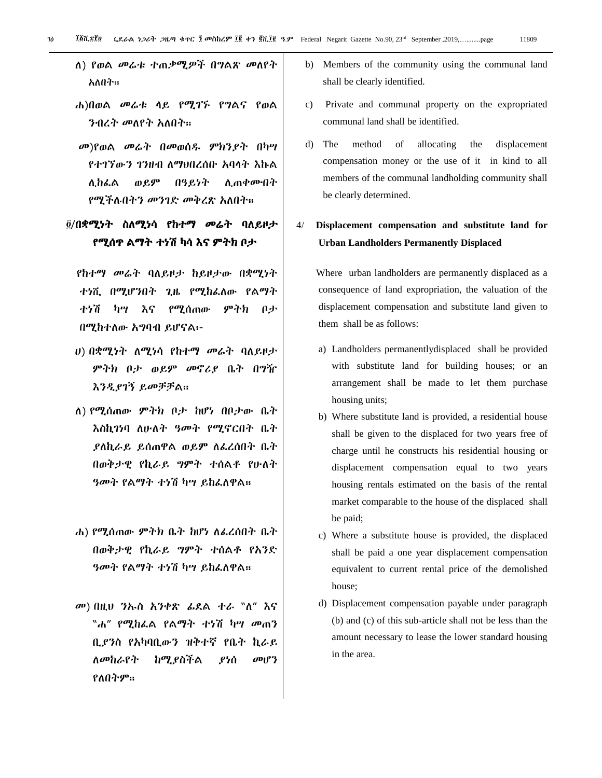- ለ) የወል መሬቱ ተጠቃሚዎች በግልጽ መለየት አለበት።
- ሐ)በወሌ መሬቱ ሊይ የሚገኙ የግሌና የወሌ *ንብረት መ*ስየት አስበት።
- መ)የወሌ መሬት በመወሰደ ምክንያት በካሣ የተገኘውን ገንዘብ ለማህበረሰቡ አባላት እኩል ሉከፇሌ ወይም በዓይነት ሉጠቀሙበት የሚችሉበትን መንገድ መቅረጽ አለበት።

## ፬/በቋሚነት ስለሚነሳ የከተማ *መ*ሬት ባለይዞታ የሚሰጥ ሌማት ተነሽ ካሳ እና ምትክ ቦታ

የከተማ *መሬት* ባለይዞታ ከይዞታው በቋሚነት ተነሺ በሚሆንበት ጊዜ የሚከራለው የልማት ተነሽ ካሣ እና የሚሰጠው ምትክ ቦታ በሚከተሇው አግባብ ይሆናሌ፡-

- ሀ) በቋሚነት ለሚነሳ የከተማ መሬት ባለይዞታ ምትክ ቦታ ወይም መኖሪያ ቤት በግዥ እንዱያገኝ ይመቻቻሌ፡፡
- ሇ) የሚሰጠው ምትክ ቦታ ከሆነ በቦታው ቤት እስኪገነባ ለሁለት ዓመት የሚኖርበት ቤት ያለኪራይ ይሰጠዋል ወይም ለፌረሰበት ቤት በወቅታዊ የኪራይ ግምት ተሰልቶ የሁለት ዓመት የልማት ተነሽ ካሣ ይከፌለዋል።
- ሐ) የሚሰጠው ምትክ ቤት ከሆነ ለፌረሰበት ቤት በወቅታዊ የኪራይ ግምት ተሰሌቶ የአንዴ ዓመት የልማት ተነሽ ካሣ ይከፌለዋል።
- መ) በዚህ ንኡስ አንቀጽ ፊደል ተራ "ለ" እና "ሐ*" የሚከ*ፌል የልማት ተነሽ ካሣ መጠን ቢያንስ የአካባቢውን ዝቅተኛ የቤት ኪራይ ሇመከራየት ከሚያስችሌ ያነሰ መሆን የለበትም፡፡
- b) Members of the community using the communal land shall be clearly identified.
- c) Private and communal property on the expropriated communal land shall be identified.
- d) The method of allocating the displacement compensation money or the use of it in kind to all members of the communal landholding community shall be clearly determined.

## 4/ **Displacement compensation and substitute land for Urban Landholders Permanently Displaced**

 Where urban landholders are permanently displaced as a consequence of land expropriation, the valuation of the displacement compensation and substitute land given to them shall be as follows:

- a) Landholders permanentlydisplaced shall be provided with substitute land for building houses; or an arrangement shall be made to let them purchase housing units;
- b) Where substitute land is provided, a residential house shall be given to the displaced for two years free of charge until he constructs his residential housing or displacement compensation equal to two years housing rentals estimated on the basis of the rental market comparable to the house of the displaced shall be paid;
- c) Where a substitute house is provided, the displaced shall be paid a one year displacement compensation equivalent to current rental price of the demolished house;
- d) Displacement compensation payable under paragraph (b) and (c) of this sub-article shall not be less than the amount necessary to lease the lower standard housing in the area.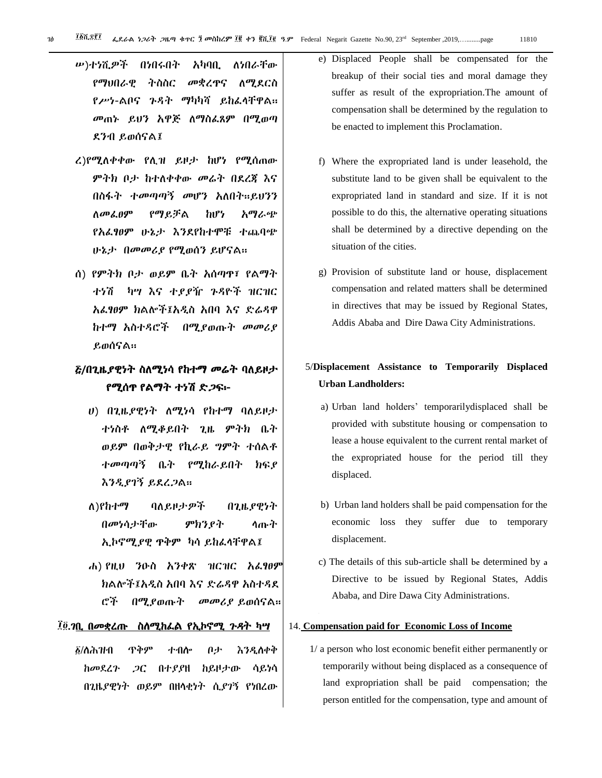- ሥ)ተነሺዎች በነበሩበት አካባቢ ለነበራቸው የማህበራዊ ትስስር መቋረዋና ለሚደርስ የሥነ-ልቦና ጉዳት ማካካሻ ይከፌሳቸዋል፡፡ መጠኑ ይህን አዋጅ ለማስፌጸም በሚወጣ ዯንብ ይወሰናሌ፤
- ረ)የሚለቀቀው የሊዝ ይዞታ ከሆነ የሚሰጠው ምትክ ቦታ ከተለቀቀው መሬት በደረጃ እና በስፋት ተመጣጣኝ መሆን አለበት።ይህንን ሇመፇፀም የማይቻሌ ከሆነ አማራጭ የአራፃፀም ሁኔታ እንደየከተሞቹ ተጨባጭ ሁኔታ በመመሪያ የሚወሰን ይሆናሌ፡፡
- ሰ) የምትክ ቦታ ወይም ቤት አሰጣጥ፣ የሌማት ተነሽ ካሣ እና ተያያዥ ጉዲዮች ዝርዝር አፇፃፀም ክሌልች፤አዱስ አበባ እና ዴሬዲዋ ከተማ አስተዲሮች በሚያወጡት መመሪያ ይወሰናሌ፡፡

## *ξ/በጊዜያዊነት ስ*ለሚነሳ የከተማ መሬት ባለይዞታ የሚሰጥ የሌማት ተነሽ ዴጋፌ፡-

- ሀ) በጊዜያዊነት ለሚነሳ የከተማ ባለይዞታ ተነስቶ ሇሚቆይበት ጊዜ ምትክ ቤት ወይም በወቅታዊ የኪራይ ግምት ተሰሌቶ ተመጣጣኝ ቤት የሚከራይበት ክፍያ እንዲያገኝ ይደረጋል።
- ለ)የከተማ ባለይዞታዎች በጊዜያዊነተ በመነሳታቸው ምክንያት ሊጡት ኢኮኖሚያዊ ዋቅም ካሳ ይከፌሳቸዋል፤
- ሐ) የዚህ ንዑስ አንቀጽ ዝርዝር አፌፃፀም ክሌልች፤አዱስ አበባ እና ዴሬዲዋ አስተዲዯ ሮች በሚያወጡት መመሪያ ይወሰናሌ፡፡

#### ፲፬.ንቢ በመቋረጡ ስለሚከፌል የኢኮኖሚ *ጉዳ*ት ካሣ

/ሇሕዝብ ጥቅም ተብሎ ቦታ እንዲሇቀቅ ከመደረጉ ጋር በተያያዘ ከይዞታው ሳይነሳ በጊዜያዊነት ወይም በዘሊቂነት ሲያገኝ የነበረው

- e) Displaced People shall be compensated for the breakup of their social ties and moral damage they suffer as result of the expropriation.The amount of compensation shall be determined by the regulation to be enacted to implement this Proclamation.
- f) Where the expropriated land is under leasehold, the substitute land to be given shall be equivalent to the expropriated land in standard and size. If it is not possible to do this, the alternative operating situations shall be determined by a directive depending on the situation of the cities.
- g) Provision of substitute land or house, displacement compensation and related matters shall be determined in directives that may be issued by Regional States, Addis Ababa and Dire Dawa City Administrations.

## 5/**Displacement Assistance to Temporarily Displaced Urban Landholders:**

- a) Urban land holders' temporarilydisplaced shall be provided with substitute housing or compensation to lease a house equivalent to the current rental market of the expropriated house for the period till they displaced.
- b) Urban land holders shall be paid compensation for the economic loss they suffer due to temporary displacement.
- c) The details of this sub-article shall be determined by a Directive to be issued by Regional States, Addis Ababa, and Dire Dawa City Administrations.

#### 14. **Compensation paid for Economic Loss of Income**

1/ a person who lost economic benefit either permanently or temporarily without being displaced as a consequence of land expropriation shall be paid compensation; the person entitled for the compensation, type and amount of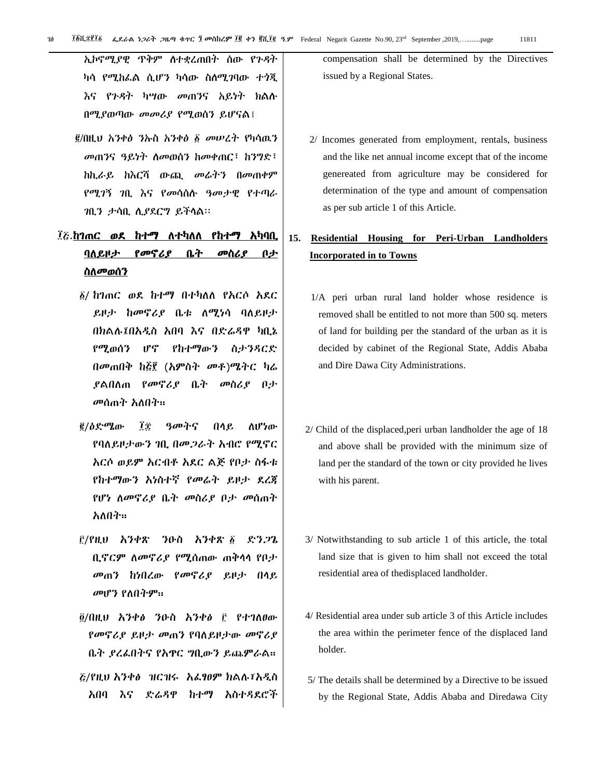ኢኮኖሚያዊ ጥቅም ስተቋረጠበት ሰው የጉዳት ካሳ የሚከፌል ሲሆን ካሳው ስስሚገባው ተጎጂ እና የጉዳት ካሣው መጠንና አይነት ክልለ በሚያወጣው መመሪያ የሚወሰን ይሆናል፤

/በዚህ አንቀፅ ንኡስ አንቀፅ መሠረት የካሳዉን መጠንና ዓይነት ስመወሰን ከመቀጠር፣ ከንግድ፣ ከኪራይ ከእርሻ ውጪ መሬትን በመጠቀም የሚገኝ ገቢ እና የመሳሰለ ዓመታዊ የተጣራ ገቢን ታሳቢ ሉያደርግ ይችሊል፡፡

## ፲<u>ሯ ከገጠር ወደ ከተማ ለተካለለ የከተማ አካባቢ</u> ባለይዞታ የ*መኖሪያ* ቤት መስሪያ ቦታ ስለመወሰን

- ፩/ ከገጠር ወደ ከተማ በተካለለ የአርሶ አደር ይዞታ ከመኖሪያ ቤቱ ለሚነሳ ባለይዞታ በክሌለ፤በአዱስ አበባ እና በዴሬዲዋ ካቢኔ የሚወሰን ሆኖ የከተማውን ስታንዲርዴ በመጠበቅ ከ፭፻ (አምስት መቶ)ሜትር ካሬ ያልበለጠ የመኖሪያ ቤት መስሪያ ቦታ መሰጠት አለበት፡፡
- <u>፪</u>/ዕድሜው ፲፰ ዓመትና በላይ ለሆነው የባለይዞታውን ገቢ በመጋራት አብሮ የሚኖር አርሶ ወይም አርብቶ አደር ልጅ የቦታ ስፋቱ የከተማውን አነስተኛ የመሬት ይዞታ ደረጃ የሆነ ሇመኖሪያ ቤት መስሪያ ቦታ መሰጠት አለበት።
- /የዚህ አንቀጽ ንዑስ አንቀጽ ዴንጋጌ ቢኖርም ስመኖሪያ የሚሰጠው ጠቅላላ የቦታ መጠን ከነበረው የመኖሪያ ይዞታ በሊይ መሆን የለበትም፡፡
- $\ddot{\theta}$ /በዚህ አንቀፅ ንዑስ አንቀፅ ፫ የተገለፀው የመኖሪያ ይዞታ መጠን የባለይዞታው መኖሪያ ቤት ያረፇበትና የአጥር ግቢውን ይጨምራሌ፡፡ /የዚህ አንቀፅ ዝርዝሩ አፇፃፀም ክሌለ፣አዱስ
- አበባ እና ዴሬዲዋ ከተማ አስተዲዯሮች

compensation shall be determined by the Directives issued by a Regional States.

2/ Incomes generated from employment, rentals, business and the like net annual income except that of the income genereated from agriculture may be considered for determination of the type and amount of compensation as per sub article 1 of this Article.

## **15. Residential Housing for Peri-Urban Landholders Incorporated in to Towns**

- 1/A peri urban rural land holder whose residence is removed shall be entitled to not more than 500 sq. meters of land for building per the standard of the urban as it is decided by cabinet of the Regional State, Addis Ababa and Dire Dawa City Administrations.
- 2/ Child of the displaced,peri urban landholder the age of 18 and above shall be provided with the minimum size of land per the standard of the town or city provided he lives with his parent.
- 3/ Notwithstanding to sub article 1 of this article, the total land size that is given to him shall not exceed the total residential area of thedisplaced landholder.
- 4/ Residential area under sub article 3 of this Article includes the area within the perimeter fence of the displaced land holder.
- 5/ The details shall be determined by a Directive to be issued by the Regional State, Addis Ababa and Diredawa City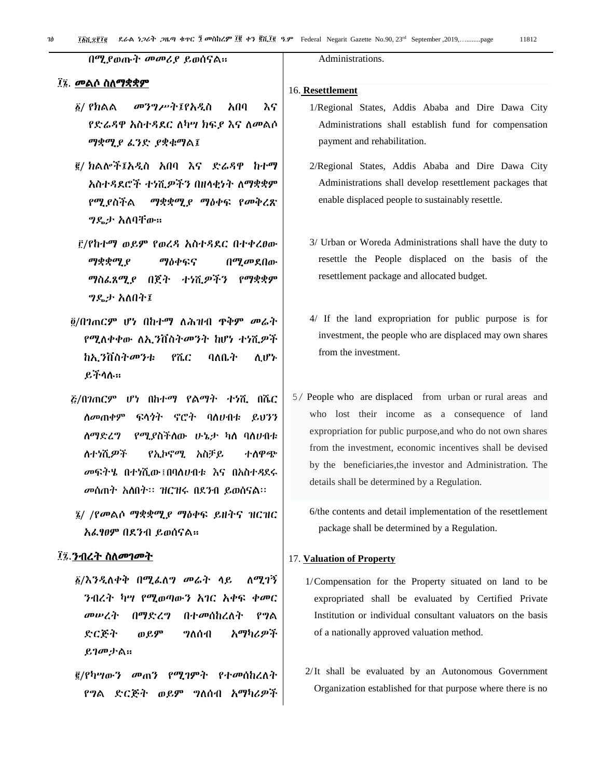በሚያወጡት መመሪያ ይወሰናሌ፡፡

#### ፲፯. መልሶ ስለማቋቋም

- / የክሌሌ መንግሥት፤የአዱስ አበባ እና የድሬዳዋ አስተዳደር ለካሣ ክፍያ እና ለመልሶ ማቋሚያ ፊንድ ያቋቁማል፤
- / ክሌልች፤አዱስ አበባ እና ዴሬዲዋ ከተማ አስተዳደሮች ተነሺ*ዎችን* በዘላቂነት ለማቋቋም የሚያስችል *ማቋቋሚያ ማ*ዕቀፍ የመቅረጽ ግዳታ አሇባቸው፡፡
- /የከተማ ወይም የወረዲ አስተዲዯር በተቀረፀው *ማቋቋሚያ ማ*ዕቀፍና በ*ሚመ*ደበው ማስፌጸሚያ በጀት ተነሺዎችን የማቋቋም ግዳታ አሇበት፤
- /በገጠርም ሆነ በከተማ ሇሕዝብ ጥቅም መሬት የሚለቀቀው ለኢንቨስትመንት ከሆነ ተነሺዎች ከኢንቨስትመንቱ የሼር ባለቤት ሊሆኑ ይችሊለ፡፡
- /በገጠርም ሆነ በከተማ የልማት ተነሺ በሼር ሰመጠቀም ፍላጎት ኖሮት ባስሀብቱ ይህንን ሰማድረግ የሚያስችስው ሁኔታ ካስ ባስሀብቱ ለተነሺዎች የኢኮኖሚ አስቻይ ተስዋጭ መፍትሄ በተነሺው፤በባለሀብቱ እና በአስተዳደሩ መሰጠት አስበት፡፡ ዝርዝሩ በደንብ ይወሰናል፡፡
- $\tilde{y}$ / /የመልሶ ማቋቋሚያ ማዕቀፍ ይዘትና ዝርዝር አፌፃፀም በደንብ ይወሰናል።

#### ፲፯. ንብረት ስለመገመት

- $\delta/\delta$ ንዲለቀቅ በሚፌለግ መሬት ላይ ለሚገኝ ንብረት ካሣ የሚወጣውን አገር አቀፍ ቀመር መሠረት በማድረግ በተመሰከረለት የግል ድርጅት ወይም ግለሰብ አማካሪዎች ይገመታሌ፡፡
- <u>፪</u>/የካሣውን መጠን የሚገምት የተመሰከረለት የግል ድርጅት ወይም ግለሰብ አማካሪዎች

Administrations.

#### 16. **Resettlement**

- 1/Regional States, Addis Ababa and Dire Dawa City Administrations shall establish fund for compensation payment and rehabilitation.
- 2/Regional States, Addis Ababa and Dire Dawa City Administrations shall develop resettlement packages that enable displaced people to sustainably resettle.
- 3/ Urban or Woreda Administrations shall have the duty to resettle the People displaced on the basis of the resettlement package and allocated budget.
- 4/ If the land expropriation for public purpose is for investment, the people who are displaced may own shares from the investment.
- 5/ People who are displaced from urban or rural areas and who lost their income as a consequence of land expropriation for public purpose,and who do not own shares from the investment, economic incentives shall be devised by the beneficiaries,the investor and Administration. The details shall be determined by a Regulation.

6/the contents and detail implementation of the resettlement package shall be determined by a Regulation.

#### 17. **Valuation of Property**

- 1/Compensation for the Property situated on land to be expropriated shall be evaluated by Certified Private Institution or individual consultant valuators on the basis of a nationally approved valuation method.
- 2/It shall be evaluated by an Autonomous Government Organization established for that purpose where there is no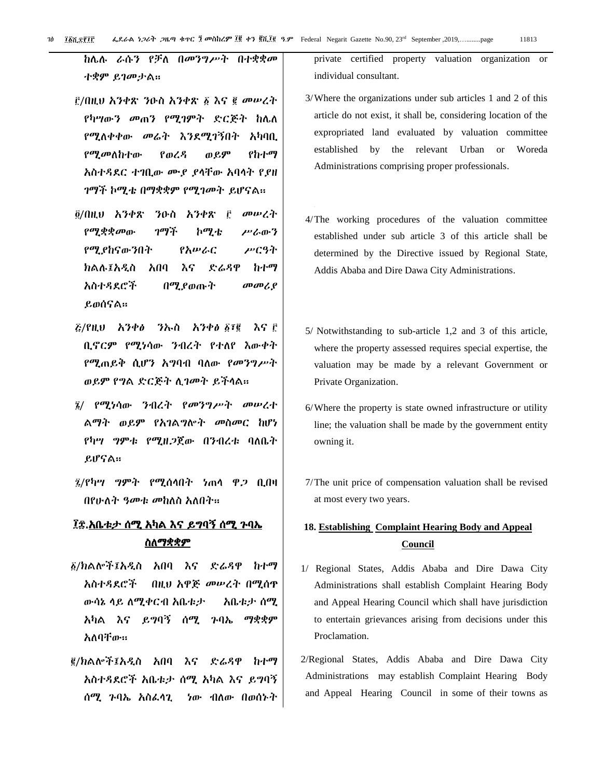ከሌሉ ራሱን የቻለ በመንግሥት በተቋቋመ ተቋም ይገመታሌ፡፡

- ፫/በዚህ አንቀጽ ንዑስ አንቀጽ ፩ እና ፪ መሠረት የካሣውን መጠን የሚገምት ድርጅት ከሌለ የሚለቀቀው መሬት እንደሚገኝበት አካባቢ የሚመሇከተው የወረዲ ወይም የከተማ አስተዲዯር ተገቢው ሙያ ያሊቸው አባሊት የያዘ ገማች ኮሚቴ በማቋቋም የሚገመት ይሆናሌ፡፡
- @/በዚህ አንቀጽ ንዑስ አንቀጽ ፫ መሠረት የሚቋቋመው ገማች ኮሚቴ ሥራውን የሚያከናውንበት የአሠራር ሥርዓት ክሌለ፤አዱስ አበባ እና ዴሬዲዋ ከተማ አስተዲዯሮች በሚያወጡት መመሪያ ይወሰናሌ፡፡
- $\bar{g}$ /የዚህ አንቀፅ ንኡስ አንቀፅ ፩፣፪ እና ፫ ቢኖርም የሚነሳው ንብረት የተለየ እውቀት የሚጠይቅ ሲሆን አግባብ ባለው የመንግሥት ወይም የግሌ ዴርጅት ሉገመት ይችሊሌ፡፡
- / የሚነሳው ንብረት የመንግሥት መሠረተ ሌማት ወይም የአገሌግልት መስመር ከሆነ የካሣ *ግ*ምቱ የሚዘ*ጋ*ጀው በንብረቱ ባለቤት ይሆናሌ፡፡
- /የካሣ ግምት የሚሰሊበት ነጠሊ ዋጋ ቢበዛ በየሁለት *ዓመቱ መከ*ለስ አለበት።

## ፲፰.አቤቱታ ሰሚ አካል እና ይግባኝ ሰሚ ጉባኤ <u>ስለማቋቋም</u>

- /ክሌልች፤አዱስ አበባ እና ዴሬዲዋ ከተማ አስተዲዯሮች በዚህ አዋጅ መሠረት በሚሰጥ ውሳኔ ሊይ ሇሚቀርብ አቤቱታ አቤቱታ ሰሚ አካሌ እና ይግባኝ ሰሚ ጉባኤ ማቋቋም አለባቸው፡፡
- /ክሌልች፤አዱስ አበባ እና ዴሬዲዋ ከተማ አስተዲዯሮች አቤቱታ ሰሚ አካሌ እና ይግባኝ ሰሚ ጉባኤ አስፌሳጊ ነው ብለው በወሰኑት

private certified property valuation organization or individual consultant.

- 3/Where the organizations under sub articles 1 and 2 of this article do not exist, it shall be, considering location of the expropriated land evaluated by valuation committee established by the relevant Urban or Woreda Administrations comprising proper professionals.
- 4/The working procedures of the valuation committee established under sub article 3 of this article shall be determined by the Directive issued by Regional State, Addis Ababa and Dire Dawa City Administrations.
- 5/ Notwithstanding to sub-article 1,2 and 3 of this article, where the property assessed requires special expertise, the valuation may be made by a relevant Government or Private Organization.
- 6/Where the property is state owned infrastructure or utility line; the valuation shall be made by the government entity owning it.
- 7/The unit price of compensation valuation shall be revised at most every two years.

## **18. Establishing Complaint Hearing Body and Appeal Council**

- 1/ Regional States, Addis Ababa and Dire Dawa City Administrations shall establish Complaint Hearing Body and Appeal Hearing Council which shall have jurisdiction to entertain grievances arising from decisions under this Proclamation.
- 2/Regional States, Addis Ababa and Dire Dawa City Administrations may establish Complaint Hearing Body and Appeal Hearing Council in some of their towns as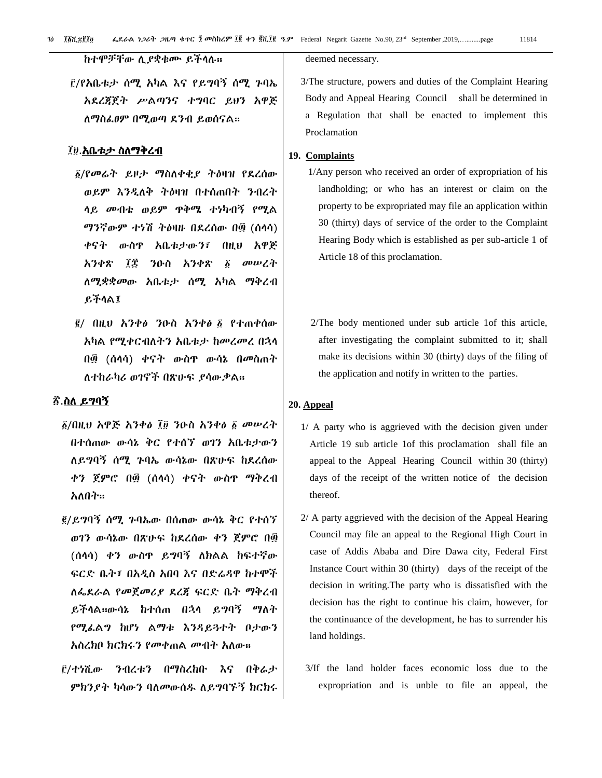ገፅ *፲*፩ሺ ፻፲፬ **ሬደራል ነጋሪት ጋዜጣ ቁጥር ፲ መስከረም ፲፪ ቀን ፪**ሺ፲፪ ዓ.ም Federal Negarit Gazette No.90, 23<sup>rd</sup> September ,2019,............page 11814 ፲፩ሺ፻፲

ከተሞቻቸው ሉያቋቁሙ ይችሊለ፡፡

/የአቤቱታ ሰሚ አካሌ እና የይግባኝ ሰሚ ጉባኤ አዯረጃጀት ሥሌጣንና ተግባር ይህን አዋጅ ለማስፌፀም በሚወጣ ደንብ ይወሰናል።

#### ፲፱.<u>አቤቱታ ስለማቅረብ</u>

- ፩/የመሬት ይዞታ ማስለቀቂያ ትዕዛዝ የደረሰው ወይም እንዲለቅ ትዕዛዝ በተሰጠበት ንብረት ሊይ መብቴ ወይም ጥቅሜ ተነካብኝ የሚሌ ማንኛውም ተነሽ ትዕዛዙ በደረሰው በ፴ (ሰላሳ) ቀናት ውስጥ አቤቱታውን፣ በዚህ አዋጅ አንቀጽ ፲፰ ንዑስ አንቀጽ ፩ መሠረት ሇሚቋቋመው አቤቱታ ሰሚ አካሌ ማቅረብ ይችሊሌ፤
- / በዚህ አንቀፅ ንዑስ አንቀፅ የተጠቀሰው አካል የሚቀርብለትን አቤቱታ ከመረመረ በኋላ በ፴ (ሰሊሳ) ቀናት ውስጥ ውሳኔ በመስጠት ለተከራካሪ ወገኖች በጽሁፍ ያሳውቃል።

## ፳.ስለ ይግባኝ

- ፩/በዚህ አዋጅ አንቀፅ ፲፱ ንዑስ አንቀፅ ፩ መሠረት በተሰጠው ውሳኔ ቅር የተሰኘ ወገን አቤቱታውን ሰይግባኝ ሰሚ ጉባኤ ውሳኔው በጽሁፍ ከደረሰው ቀን ጀምሮ በ፴ (ሰሊሳ) ቀናት ውስጥ ማቅረብ አለበት።
- /ይግባኝ ሰሚ ጉባኤው በሰጠው ውሳኔ ቅር የተሰኘ ወገን ውሳኔው በጽሁፌ ከዯረሰው ቀን ጀምሮ በ፴ (ሰላሳ) ቀን ውስጥ ይግባኝ ለክልል ከፍተኛው ፍርድ ቤት፣ በአዲስ አበባ እና በድሬዳዋ ከተሞች ሇፋዯራሌ የመጀመሪያ ዯረጃ ፌርዴ ቤት ማቅረብ ይችላል።ውሳኔ ከተሰጠ በኋላ ይግባኝ ማለት የሚፇሌግ ከሆነ ሌማቱ እንዲይጓተት ቦታውን አስረክቦ ክርክሩን የመቀጠል መብት አስው።
- /ተነሺው ንብረቱን በማስረከቡ እና በቅሬታ ምክንያት ካሳውን ባለመውሰዱ ለይግባኙኝ ክርክሩ

deemed necessary.

3/The structure, powers and duties of the Complaint Hearing Body and Appeal Hearing Council shall be determined in a Regulation that shall be enacted to implement this Proclamation

#### **19. Complaints**

- 1/Any person who received an order of expropriation of his landholding; or who has an interest or claim on the property to be expropriated may file an application within 30 (thirty) days of service of the order to the Complaint Hearing Body which is established as per sub-article 1 of Article 18 of this proclamation.
- 2/The body mentioned under sub article 1of this article, after investigating the complaint submitted to it; shall make its decisions within 30 (thirty) days of the filing of the application and notify in written to the parties.

#### **20. Appeal**

- 1/ A party who is aggrieved with the decision given under Article 19 sub article 1of this proclamation shall file an appeal to the Appeal Hearing Council within 30 (thirty) days of the receipt of the written notice of the decision thereof.
- 2/ A party aggrieved with the decision of the Appeal Hearing Council may file an appeal to the Regional High Court in case of Addis Ababa and Dire Dawa city, Federal First Instance Court within 30 (thirty) days of the receipt of the decision in writing.The party who is dissatisfied with the decision has the right to continue his claim, however, for the continuance of the development, he has to surrender his land holdings.
- 3/If the land holder faces economic loss due to the expropriation and is unble to file an appeal, the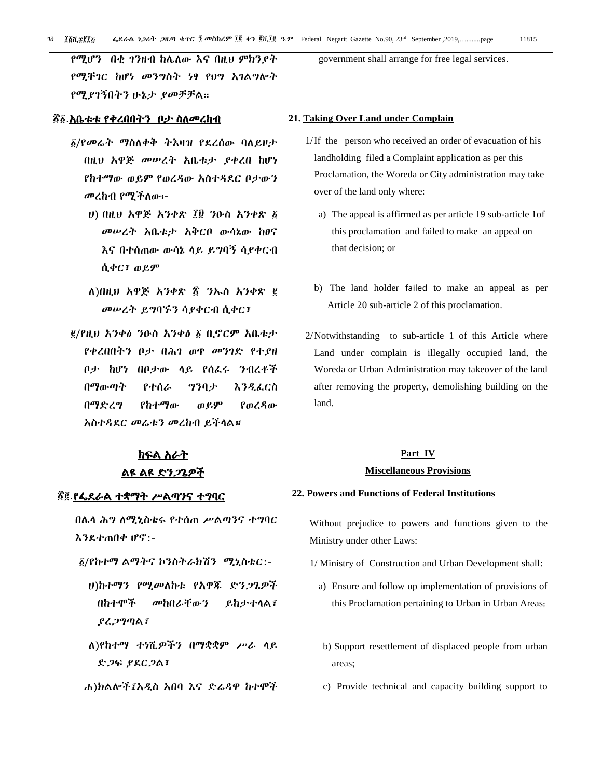የሚሆን በቂ ገንዘብ ከሌለው እና በዚህ ምክንያት የሚቸገር ከሆነ መንግስት ነፃ የህግ አገሌግልት የሚያገኝበትን ሁኔታ ያመቻቻሌ፡፡

#### ፳፩.<u>አቤቱቱ የቀረበበትን ቦታ ስለመረከብ</u>

- $\delta$ /የመሬት ማስለቀቅ ትእዛዝ የደረሰው ባለይዞታ በዚህ አዋጅ መሠረት አቤቱታ ያቀረበ ከሆነ የከተማው ወይም የወረዳው አስተዳደር ቦታውን መረከብ የሚችለው፡-
	- ሀ) በዚህ አዋጅ አንቀጽ ፲፱ ንዑስ አንቀጽ መሠረት አቤቱታ አቅርቦ ውሳኔው ከፀና እና በተሰጠው ውሳኔ ሊይ ይግባኝ ሳያቀርብ ሲቀር፣ ወይም
	- ሇ)በዚህ አዋጅ አንቀጽ ፳ ንኡስ አንቀጽ መሠረት ይግባኙን ሳያቀርብ ሲቀር፣
- /የዚህ አንቀፅ ንዑስ አንቀፅ ቢኖርም አቤቱታ የቀረበበትን ቦታ በሕገ ወጥ መንገዴ የተያዘ ቦታ ከሆነ በቦታው ላይ የሰፌሩ ንብረቶች በማውጣት የተሰራ ግንባታ እንዲፌርስ በማዴረግ የከተማው ወይም የወረዲው አስተዲዯር መሬቱን መረከብ ይችሊሌ።

## ክፍል አራት <u>ልዩ ልዩ ድን*ጋ*ጌዎች</u>

#### ፳፪.<u>የፌደራል ተቋማት ሥልጣንና ተግባር</u>

በሌላ ሕግ ለሚኒስቴሩ የተሰጠ ሥልጣንና ተግባር እንደተጠበቀ ሆኖ:-

- /የከተማ ሌማትና ኮንስትራክሽን ሚኒስቴር:-
	- ሀ)ከተማን የሚመለከቱ የአዋጁ ድንጋጌዎች በከተሞች መከበራቸውን ይከታተሊሌ፣ ያረጋግጣሌ፣
	- ሇ)የከተማ ተነሺዎችን በማቋቋም ሥራ ሊይ ድጋፍ ያደርጋል፣
- ሐ)ክሌልች፤አዱስ አበባ እና ዴሬዲዋ ከተሞች

government shall arrange for free legal services.

#### **21. Taking Over Land under Complain**

- 1/If the person who received an order of evacuation of his landholding filed a Complaint application as per this Proclamation, the Woreda or City administration may take over of the land only where:
	- a) The appeal is affirmed as per article 19 sub-article 1of this proclamation and failed to make an appeal on that decision; or
	- b) The land holder failed to make an appeal as per Article 20 sub-article 2 of this proclamation.
- 2/Notwithstanding to sub-article 1 of this Article where Land under complain is illegally occupied land, the Woreda or Urban Administration may takeover of the land after removing the property, demolishing building on the land.

## **Part IV Miscellaneous Provisions**

#### **22. Powers and Functions of Federal Institutions**

Without prejudice to powers and functions given to the Ministry under other Laws:

- 1/ Ministry of Construction and Urban Development shall:
	- a) Ensure and follow up implementation of provisions of this Proclamation pertaining to Urban in Urban Areas;
	- b) Support resettlement of displaced people from urban areas;
	- c) Provide technical and capacity building support to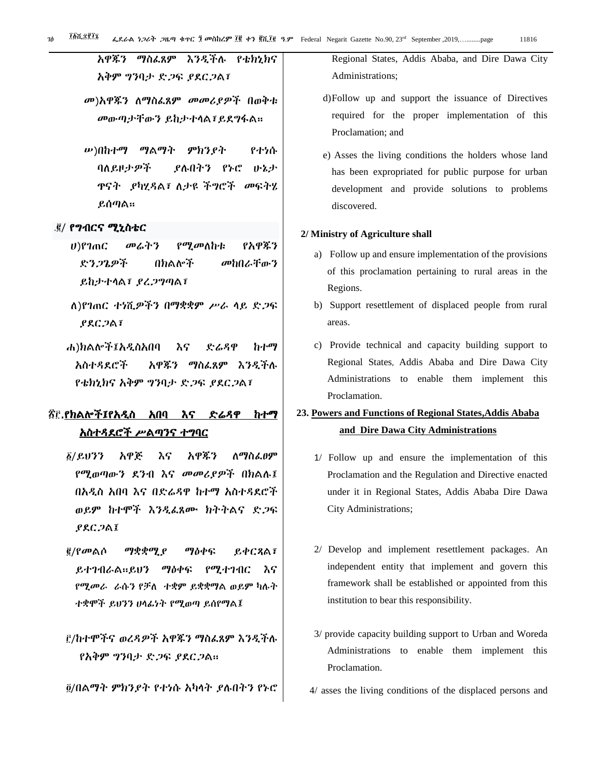አዋጁን ማስፇጸም እንዱችለ የቴክኒክና አቅም ግንባታ ድጋፍ ያደርጋል፣

መ)አዋጁን ለማስፌጸም መመሪያዎች በወቅቱ መውጣታቸውን ይከታተላል፣ይደግፋል።

ሠ)በከተማ ማሌማት ምክንያት የተነሱ ባለይዞታዎች ያሉበትን የኑሮ ሁኔታ ጥናት ያካሂዳል፣ ለታዩ ችግሮች መፍትሄ ይሰጣሌ፡፡

#### .፪/ የግብርና ሚኒስቴር

- ሀ)የገጠር መሬትን የሚመለከቱ የአዋጁን ዴንጋጌዎች በክሌልች መከበራቸውን ይከታተሊሌ፣ ያረጋግጣሌ፣
- ሇ)የገጠር ተነሺዎችን በማቋቋም ሥራ ሊይ ዴጋፌ ያዯርጋሌ፣
- ሐ)ክሌልች፤አዱስአበባ እና ዴሬዲዋ ከተማ አስተዳደሮች አዋጁን ማስፌጸም እንዲችሉ የቴክኒክና አቅም ግንባታ ድጋፍ ያደርጋል፣

## ፳፫.የክልሎች፤የአዲስ አበባ እና ድሬዳዋ ከተማ አስተዲዯሮች ሥሌጣንና ተግባር

- $\delta$ /ይህንን አዋጅ እና አዋጁን ለማስፌፀም የሚወጣውን ዯንብ እና መመሪያዎች በክሌለ፤ በአዲስ አበባ እና በድሬዳዋ ከተማ አስተዳደሮች ወይም ከተሞች እንዲፌጸሙ ክትትልና ድጋፍ ያዯርጋሌ፤
- <u>፪</u>/የመልሶ ማቋቋሚ*ያ ማ*ዕቀፍ ይቀርጻል፣ ይተገብራል።ይህን ማዕቀፍ የሚተገብር እና የሚመራ ራሱን የቻለ ተቋም ይቋቋማል ወይም ካሉት ተቋሞች ይህንን ሀሊፉነት የሚወጣ ይሰየማሌ፤

<u>i</u>፡/ከተሞችና ወረዳዎች አዋጁን ማስፌጸም እንዲችሉ የአቅም ግንባታ ድጋፍ ያደርጋል።

/በሌማት ምክንያት የተነሱ አካሊት ያለበትን የኑሮ

Regional States, Addis Ababa, and Dire Dawa City Administrations;

- d)Follow up and support the issuance of Directives required for the proper implementation of this Proclamation; and
- e) Asses the living conditions the holders whose land has been expropriated for public purpose for urban development and provide solutions to problems discovered.

#### **2/ Ministry of Agriculture shall**

- a) Follow up and ensure implementation of the provisions of this proclamation pertaining to rural areas in the Regions.
- b) Support resettlement of displaced people from rural areas.
- c) Provide technical and capacity building support to Regional States, Addis Ababa and Dire Dawa City Administrations to enable them implement this Proclamation.

## **23. Powers and Functions of Regional States,Addis Ababa and Dire Dawa City Administrations**

- 1/ Follow up and ensure the implementation of this Proclamation and the Regulation and Directive enacted under it in Regional States, Addis Ababa Dire Dawa City Administrations;
- 2/ Develop and implement resettlement packages. An independent entity that implement and govern this framework shall be established or appointed from this institution to bear this responsibility.
- 3/ provide capacity building support to Urban and Woreda Administrations to enable them implement this Proclamation.
- 4/ asses the living conditions of the displaced persons and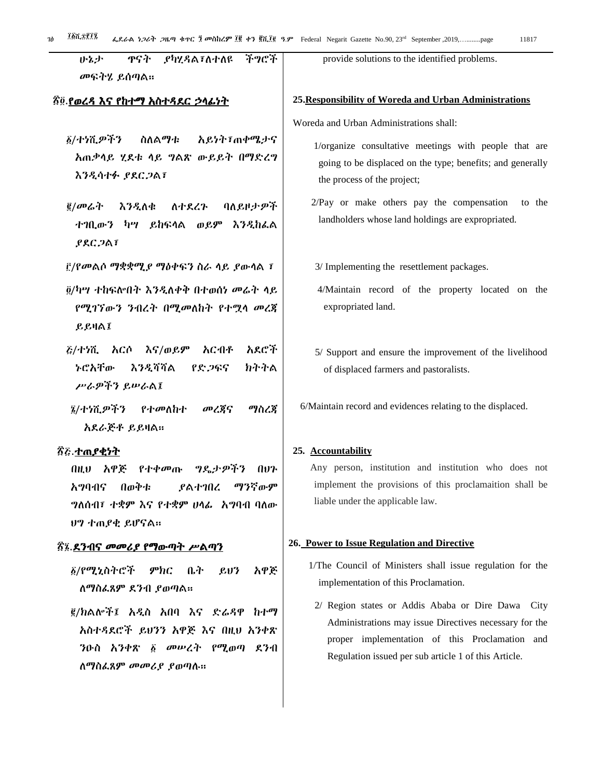| ዋናት<br><b>,የካሂዳል፣ለተለዩ</b><br>矛ッピチ<br>いとよ          | provide solutions to the identified problems.              |  |
|---------------------------------------------------|------------------------------------------------------------|--|
| መፍትሄ ይሰጣል።                                        |                                                            |  |
|                                                   |                                                            |  |
| <u> ፳፬ የወረዳ እና የከተማ አስተዳደር ኃላፊነት</u>              | 25. Responsibility of Woreda and Urban Administrations     |  |
|                                                   | Woreda and Urban Administrations shall:                    |  |
| ፩/ተነሺዎችን<br>ስለልማቱ<br><i>አይነት፣</i> ጠቀሜታና           | 1/organize consultative meetings with people that are      |  |
| አጠቃሳይ ሂደቱ ሳይ ግልጽ ውይይት በማድረግ                       | going to be displaced on the type; benefits; and generally |  |
| እንዲሳተፉ ያደርጋል፣                                     | the process of the project;                                |  |
|                                                   |                                                            |  |
| <u>፪</u> /መሬት<br>እንዲለቁ<br>ባለይዞታዎች<br>ለተደረጉ        | 2/Pay or make others pay the compensation<br>to the        |  |
| ተገቢውን ካሣ ይከፍላል ወይም እንዲከፌል                         | landholders whose land holdings are expropriated.          |  |
| <b>PRC 2A1</b>                                    |                                                            |  |
| ፫/የመልሶ ማቋቋሚ <i>ያ ማ</i> ዕቀፍን ስራ ላይ <i>ያ</i> ውሳል ፣  | 3/ Implementing the resettlement packages.                 |  |
|                                                   |                                                            |  |
| ፬/ካሣ ተከፍሎበት እንዲለቀቅ በተወሰነ መሬት ላይ                   | 4/Maintain record of the property located on the           |  |
| የሚገኘውን ንብረት በሚመለከት የተሟሳ መረጃ                       | expropriated land.                                         |  |
| <b>LEHAI</b>                                      |                                                            |  |
| <i>ξ/ተነ</i> ሺ እርሶ እና/ወይም<br>አርብቶ<br>አደሮች          | 5/ Support and ensure the improvement of the livelihood    |  |
| <b>カナナム</b><br>ትሮአቸው<br>እንዲሻሻል<br>የድ <i>ጋ</i> ፍና  | of displaced farmers and pastoralists.                     |  |
| ሥራዎችን ይሥራል፤                                       |                                                            |  |
| መረጀና<br>፮/ተነሺ <i>ዎችን የተመ</i> ለከተ<br>ማስረጃ          | 6/Maintain record and evidences relating to the displaced. |  |
| አደራጅቶ ይይዛል።                                       |                                                            |  |
|                                                   |                                                            |  |
| ፳ <u>ሯ ተጠያቂነት</u>                                 | 25. Accountability                                         |  |
| የተቀመጡ <i>ግ</i> ዴታ <i>ዎችን</i><br>በዚህ አዋጅ<br>ู ใ1ขา | Any person, institution and institution who does not       |  |
| በወቅቱ<br>ማንኛውም<br>አማባብና<br>ያልተገበረ                  | implement the provisions of this proclamaition shall be    |  |
| <b>ግለሰብ፣ ተቋም እና የተቋም ሀሳፊ አግባብ ባለው</b>             | liable under the applicable law.                           |  |
| ሀግ ተጠያቂ ይሆናል።                                     |                                                            |  |
| ፳፯. <u>ደንብና መመሪያ የማውጣት ሥልጣን</u>                   | 26. Power to Issue Regulation and Directive                |  |
| ፩/የሚኒስትሮች ምክር<br>ቤት<br>አዋጅ<br>$\mathcal{L}U$      | 1/The Council of Ministers shall issue regulation for the  |  |
| ለማስፌጸም ደንብ ያወጣል።                                  | implementation of this Proclamation.                       |  |
|                                                   | 2/ Region states or Addis Ababa or Dire Dawa City          |  |
| ፪/ክልሎች፤ አዲስ አበባ እና ድሬዳዋ ከተማ                       | Administrations may issue Directives necessary for the     |  |
| አስተዳደሮች ይሀንን አዋጅ እና በዚህ አንቀጽ                      | proper implementation of this Proclamation and             |  |
| ንዑስ አንቀጽ ፩ <i>መ</i> ሥረት የሚወጣ ደንብ                  | Regulation issued per sub article 1 of this Article.       |  |
| ለማስፌጸም <i>መመሪያ ያ</i> ወጣሉ።                         |                                                            |  |
|                                                   |                                                            |  |
|                                                   |                                                            |  |
|                                                   |                                                            |  |